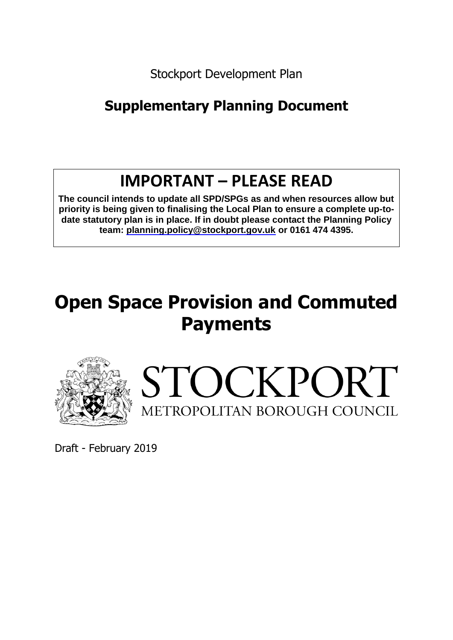Stockport Development Plan

# **Supplementary Planning Document**

# **IMPORTANT – PLEASE READ**

**The council intends to update all SPD/SPGs as and when resources allow but priority is being given to finalising the Local Plan to ensure a complete up-todate statutory plan is in place. If in doubt please contact the Planning Policy team: planning.policy@stockport.gov.uk or 0161 474 4395.**

# **Open Space Provision and Commuted Payments**





Draft - February 2019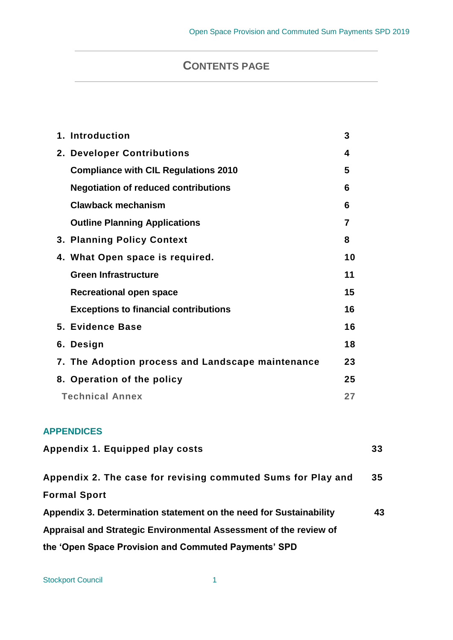# **CONTENTS PAGE**

| 1. Introduction                                   | 3  |
|---------------------------------------------------|----|
| 2. Developer Contributions                        | 4  |
| <b>Compliance with CIL Regulations 2010</b>       | 5  |
| <b>Negotiation of reduced contributions</b>       | 6  |
| Clawback mechanism                                | 6  |
| <b>Outline Planning Applications</b>              | 7  |
| 3. Planning Policy Context                        | 8  |
| 4. What Open space is required.                   | 10 |
| <b>Green Infrastructure</b>                       | 11 |
| <b>Recreational open space</b>                    | 15 |
| <b>Exceptions to financial contributions</b>      | 16 |
| 5. Evidence Base                                  | 16 |
| 6. Design                                         | 18 |
| 7. The Adoption process and Landscape maintenance | 23 |
| 8. Operation of the policy                        | 25 |
| <b>Technical Annex</b>                            | 27 |

# **APPENDICES**

| Appendix 1. Equipped play costs                                    | 33 |
|--------------------------------------------------------------------|----|
| Appendix 2. The case for revising commuted Sums for Play and       | 35 |
| <b>Formal Sport</b>                                                |    |
| Appendix 3. Determination statement on the need for Sustainability | 43 |
| Appraisal and Strategic Environmental Assessment of the review of  |    |
| the 'Open Space Provision and Commuted Payments' SPD               |    |

Stockport Council 1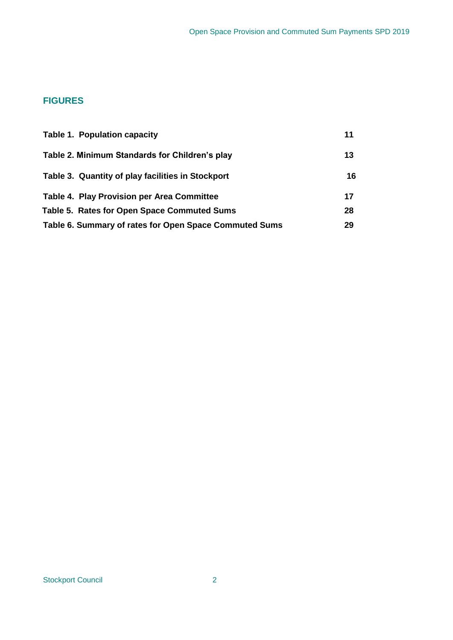# **FIGURES**

| Table 1. Population capacity                           | 11 |
|--------------------------------------------------------|----|
| Table 2. Minimum Standards for Children's play         | 13 |
| Table 3. Quantity of play facilities in Stockport      | 16 |
| <b>Table 4. Play Provision per Area Committee</b>      | 17 |
| Table 5. Rates for Open Space Commuted Sums            | 28 |
| Table 6. Summary of rates for Open Space Commuted Sums | 29 |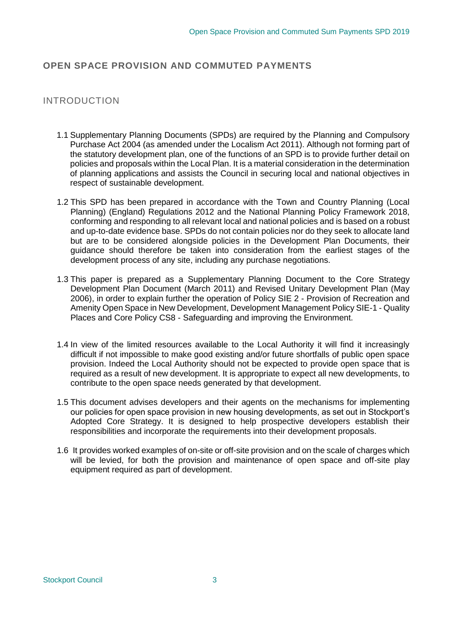# **OPEN SPACE PROVISION AND COMMUTED PAYMENTS**

# INTRODUCTION

- 1.1 Supplementary Planning Documents (SPDs) are required by the Planning and Compulsory Purchase Act 2004 (as amended under the Localism Act 2011). Although not forming part of the statutory development plan, one of the functions of an SPD is to provide further detail on policies and proposals within the Local Plan. It is a material consideration in the determination of planning applications and assists the Council in securing local and national objectives in respect of sustainable development.
- 1.2 This SPD has been prepared in accordance with the Town and Country Planning (Local Planning) (England) Regulations 2012 and the National Planning Policy Framework 2018, conforming and responding to all relevant local and national policies and is based on a robust and up-to-date evidence base. SPDs do not contain policies nor do they seek to allocate land but are to be considered alongside policies in the Development Plan Documents, their guidance should therefore be taken into consideration from the earliest stages of the development process of any site, including any purchase negotiations.
- 1.3 This paper is prepared as a Supplementary Planning Document to the Core Strategy Development Plan Document (March 2011) and Revised Unitary Development Plan (May 2006), in order to explain further the operation of Policy SIE 2 - Provision of Recreation and Amenity Open Space in New Development, Development Management Policy SIE-1 - Quality Places and Core Policy CS8 - Safeguarding and improving the Environment.
- 1.4 In view of the limited resources available to the Local Authority it will find it increasingly difficult if not impossible to make good existing and/or future shortfalls of public open space provision. Indeed the Local Authority should not be expected to provide open space that is required as a result of new development. It is appropriate to expect all new developments, to contribute to the open space needs generated by that development.
- 1.5 This document advises developers and their agents on the mechanisms for implementing our policies for open space provision in new housing developments, as set out in Stockport's Adopted Core Strategy. It is designed to help prospective developers establish their responsibilities and incorporate the requirements into their development proposals.
- 1.6 It provides worked examples of on-site or off-site provision and on the scale of charges which will be levied, for both the provision and maintenance of open space and off-site play equipment required as part of development.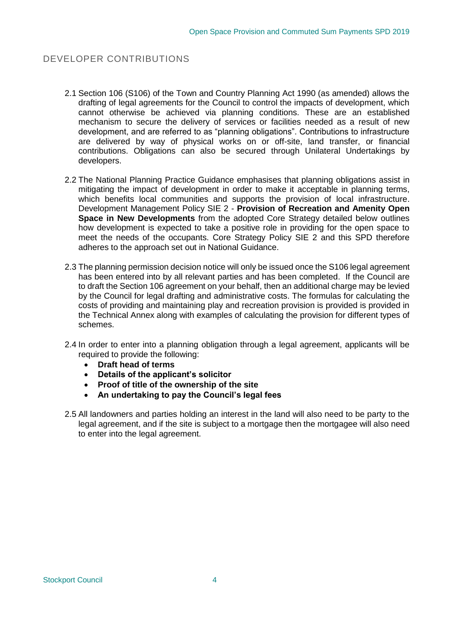# DEVELOPER CONTRIBUTIONS

- 2.1 Section 106 (S106) of the Town and Country Planning Act 1990 (as amended) allows the drafting of legal agreements for the Council to control the impacts of development, which cannot otherwise be achieved via planning conditions. These are an established mechanism to secure the delivery of services or facilities needed as a result of new development, and are referred to as "planning obligations". Contributions to infrastructure are delivered by way of physical works on or off-site, land transfer, or financial contributions. Obligations can also be secured through Unilateral Undertakings by developers.
- 2.2 The National Planning Practice Guidance emphasises that planning obligations assist in mitigating the impact of development in order to make it acceptable in planning terms, which benefits local communities and supports the provision of local infrastructure. Development Management Policy SIE 2 - **Provision of Recreation and Amenity Open Space in New Developments** from the adopted Core Strategy detailed below outlines how development is expected to take a positive role in providing for the open space to meet the needs of the occupants. Core Strategy Policy SIE 2 and this SPD therefore adheres to the approach set out in National Guidance.
- 2.3 The planning permission decision notice will only be issued once the S106 legal agreement has been entered into by all relevant parties and has been completed. If the Council are to draft the Section 106 agreement on your behalf, then an additional charge may be levied by the Council for legal drafting and administrative costs. The formulas for calculating the costs of providing and maintaining play and recreation provision is provided is provided in the Technical Annex along with examples of calculating the provision for different types of schemes.
- 2.4 In order to enter into a planning obligation through a legal agreement, applicants will be required to provide the following:
	- **Draft head of terms**
	- **Details of the applicant's solicitor**
	- **Proof of title of the ownership of the site**
	- **An undertaking to pay the Council's legal fees**
- 2.5 All landowners and parties holding an interest in the land will also need to be party to the legal agreement, and if the site is subject to a mortgage then the mortgagee will also need to enter into the legal agreement.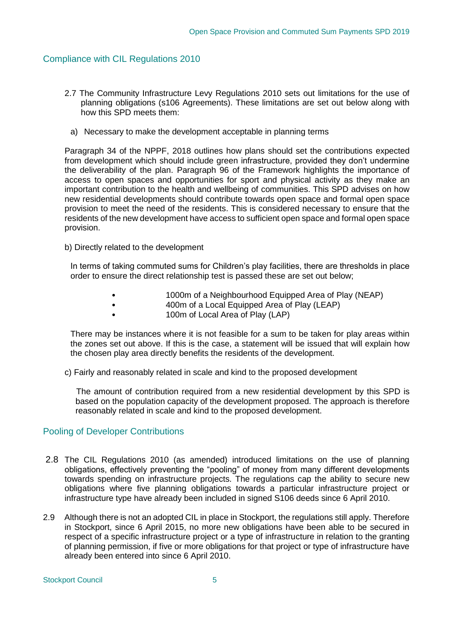# Compliance with CIL Regulations 2010

- 2.7 The Community Infrastructure Levy Regulations 2010 sets out limitations for the use of planning obligations (s106 Agreements). These limitations are set out below along with how this SPD meets them:
	- a) Necessary to make the development acceptable in planning terms

Paragraph 34 of the NPPF, 2018 outlines how plans should set the contributions expected from development which should include green infrastructure, provided they don't undermine the deliverability of the plan. Paragraph 96 of the Framework highlights the importance of access to open spaces and opportunities for sport and physical activity as they make an important contribution to the health and wellbeing of communities. This SPD advises on how new residential developments should contribute towards open space and formal open space provision to meet the need of the residents. This is considered necessary to ensure that the residents of the new development have access to sufficient open space and formal open space provision.

b) Directly related to the development

In terms of taking commuted sums for Children's play facilities, there are thresholds in place order to ensure the direct relationship test is passed these are set out below;

- 1000m of a Neighbourhood Equipped Area of Play (NEAP)
	- 400m of a Local Equipped Area of Play (LEAP)
- 100m of Local Area of Play (LAP)

There may be instances where it is not feasible for a sum to be taken for play areas within the zones set out above. If this is the case, a statement will be issued that will explain how the chosen play area directly benefits the residents of the development.

c) Fairly and reasonably related in scale and kind to the proposed development

 The amount of contribution required from a new residential development by this SPD is based on the population capacity of the development proposed. The approach is therefore reasonably related in scale and kind to the proposed development.

# Pooling of Developer Contributions

- 2.8 The CIL Regulations 2010 (as amended) introduced limitations on the use of planning obligations, effectively preventing the "pooling" of money from many different developments towards spending on infrastructure projects. The regulations cap the ability to secure new obligations where five planning obligations towards a particular infrastructure project or infrastructure type have already been included in signed S106 deeds since 6 April 2010.
- 2.9 Although there is not an adopted CIL in place in Stockport, the regulations still apply. Therefore in Stockport, since 6 April 2015, no more new obligations have been able to be secured in respect of a specific infrastructure project or a type of infrastructure in relation to the granting of planning permission, if five or more obligations for that project or type of infrastructure have already been entered into since 6 April 2010.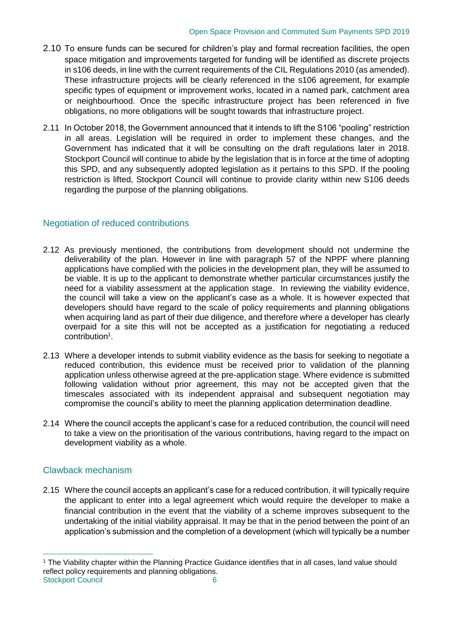- 2.10 To ensure funds can be secured for children's play and formal recreation facilities, the open space mitigation and improvements targeted for funding will be identified as discrete projects in s106 deeds, in line with the current requirements of the CIL Regulations 2010 (as amended). These infrastructure projects will be clearly referenced in the s106 agreement, for example specific types of equipment or improvement works, located in a named park, catchment area or neighbourhood. Once the specific infrastructure project has been referenced in five obligations, no more obligations will be sought towards that infrastructure project.
- 2.11 In October 2018, the Government announced that it intends to lift the S106 "pooling" restriction in all areas. Legislation will be required in order to implement these changes, and the Government has indicated that it will be consulting on the draft regulations later in 2018. Stockport Council will continue to abide by the legislation that is in force at the time of adopting this SPD, and any subsequently adopted legislation as it pertains to this SPD. If the pooling restriction is lifted, Stockport Council will continue to provide clarity within new S106 deeds regarding the purpose of the planning obligations.

# Negotiation of reduced contributions

- 2.12 As previously mentioned, the contributions from development should not undermine the deliverability of the plan. However in line with paragraph 57 of the NPPF where planning applications have complied with the policies in the development plan, they will be assumed to be viable. It is up to the applicant to demonstrate whether particular circumstances justify the need for a viability assessment at the application stage. In reviewing the viability evidence, the council will take a view on the applicant's case as a whole. It is however expected that developers should have regard to the scale of policy requirements and planning obligations when acquiring land as part of their due diligence, and therefore where a developer has clearly overpaid for a site this will not be accepted as a justification for negotiating a reduced contribution<sup>1</sup>.
- 2.13 Where a developer intends to submit viability evidence as the basis for seeking to negotiate a reduced contribution, this evidence must be received prior to validation of the planning application unless otherwise agreed at the pre-application stage. Where evidence is submitted following validation without prior agreement, this may not be accepted given that the timescales associated with its independent appraisal and subsequent negotiation may compromise the council's ability to meet the planning application determination deadline.
- 2.14 Where the council accepts the applicant's case for a reduced contribution, the council will need to take a view on the prioritisation of the various contributions, having regard to the impact on development viability as a whole.

# Clawback mechanism

 $\overline{a}$ 

2.15 Where the council accepts an applicant's case for a reduced contribution, it will typically require the applicant to enter into a legal agreement which would require the developer to make a financial contribution in the event that the viability of a scheme improves subsequent to the undertaking of the initial viability appraisal. It may be that in the period between the point of an application's submission and the completion of a development (which will typically be a number

Stockport Council 6 <sup>1</sup> The Viability chapter within the Planning Practice Guidance identifies that in all cases, land value should reflect policy requirements and planning obligations.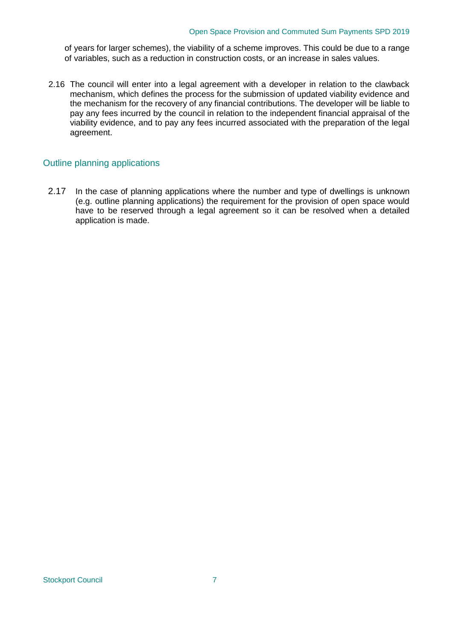of years for larger schemes), the viability of a scheme improves. This could be due to a range of variables, such as a reduction in construction costs, or an increase in sales values.

2.16 The council will enter into a legal agreement with a developer in relation to the clawback mechanism, which defines the process for the submission of updated viability evidence and the mechanism for the recovery of any financial contributions. The developer will be liable to pay any fees incurred by the council in relation to the independent financial appraisal of the viability evidence, and to pay any fees incurred associated with the preparation of the legal agreement.

# Outline planning applications

2.17 In the case of planning applications where the number and type of dwellings is unknown (e.g. outline planning applications) the requirement for the provision of open space would have to be reserved through a legal agreement so it can be resolved when a detailed application is made.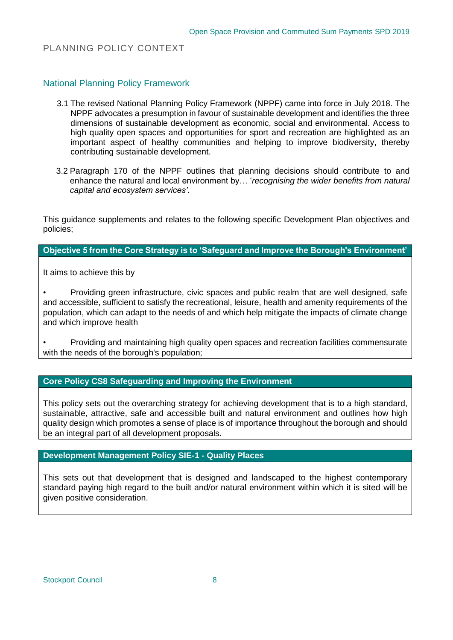# PLANNING POLICY CONTEXT

National Planning Policy Framework

- 3.1 The revised National Planning Policy Framework (NPPF) came into force in July 2018. The NPPF advocates a presumption in favour of sustainable development and identifies the three dimensions of sustainable development as economic, social and environmental. Access to high quality open spaces and opportunities for sport and recreation are highlighted as an important aspect of healthy communities and helping to improve biodiversity, thereby contributing sustainable development.
- 3.2 Paragraph 170 of the NPPF outlines that planning decisions should contribute to and enhance the natural and local environment by… '*recognising the wider benefits from natural capital and ecosystem services'*.

This guidance supplements and relates to the following specific Development Plan objectives and policies;

# **Objective 5 from the Core Strategy is to 'Safeguard and Improve the Borough's Environment'**

It aims to achieve this by

• Providing green infrastructure, civic spaces and public realm that are well designed, safe and accessible, sufficient to satisfy the recreational, leisure, health and amenity requirements of the population, which can adapt to the needs of and which help mitigate the impacts of climate change and which improve health

• Providing and maintaining high quality open spaces and recreation facilities commensurate with the needs of the borough's population;

# **Core Policy CS8 Safeguarding and Improving the Environment**

This policy sets out the overarching strategy for achieving development that is to a high standard, sustainable, attractive, safe and accessible built and natural environment and outlines how high quality design which promotes a sense of place is of importance throughout the borough and should be an integral part of all development proposals.

# **Development Management Policy SIE-1 - Quality Places**

This sets out that development that is designed and landscaped to the highest contemporary standard paying high regard to the built and/or natural environment within which it is sited will be given positive consideration.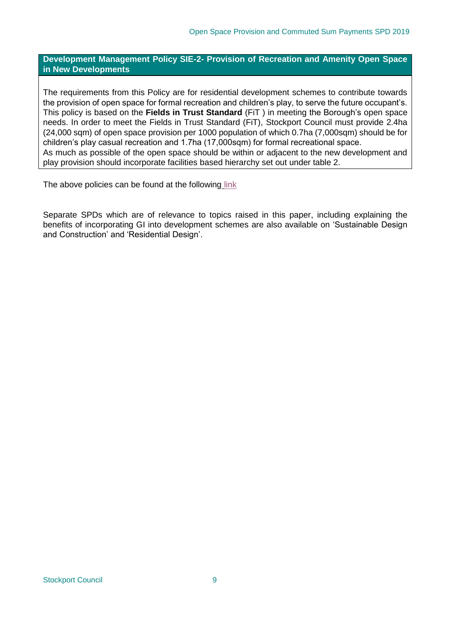**Development Management Policy SIE-2- Provision of Recreation and Amenity Open Space in New Developments**

The requirements from this Policy are for residential development schemes to contribute towards the provision of open space for formal recreation and children's play, to serve the future occupant's. This policy is based on the **[Fields in Trust Standard](http://www.fieldsintrust.org/Upload/file/PAD/FINAL%20ONLINE%20Planning%20Guidance%20for%20Outdoor%20Sport%20and%20Play%20Provision%20Oct%202015.pdf)** (FiT ) in meeting the Borough's open space needs. In order to meet the Fields in Trust Standard (FiT), Stockport Council must provide 2.4ha (24,000 sqm) of open space provision per 1000 population of which 0.7ha (7,000sqm) should be for children's play casual recreation and 1.7ha (17,000sqm) for formal recreational space. As much as possible of the open space should be within or adjacent to the new development and play provision should incorporate facilities based hierarchy set out under table 2.

The above policies can be found at the following [link](https://www.stockport.gov.uk/development-plan)

Separate SPDs which are of relevance to topics raised in this paper, including explaining the benefits of incorporating GI into development schemes are also available on ['Sustainable Design](https://www.stockport.gov.uk/supplementary-planning-documents-and-guidance/supplementary-planning-documents)  [and Construction' and 'Residential Design'.](https://www.stockport.gov.uk/supplementary-planning-documents-and-guidance/supplementary-planning-documents)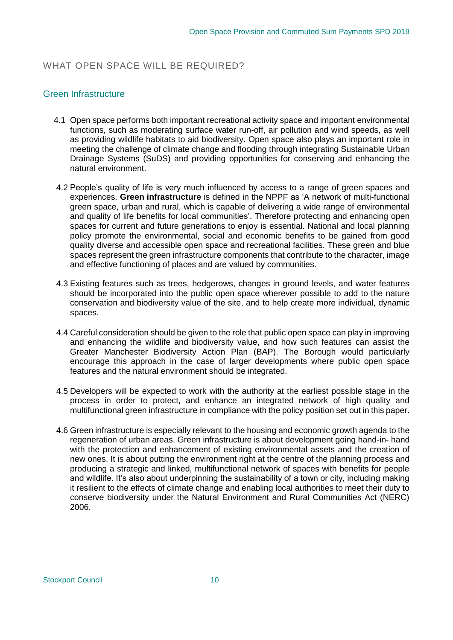# WHAT OPEN SPACE WILL BE REQUIRED?

# Green Infrastructure

- 4.1 Open space performs both important recreational activity space and important environmental functions, such as moderating surface water run-off, air pollution and wind speeds, as well as providing wildlife habitats to aid biodiversity. Open space also plays an important role in meeting the challenge of climate change and flooding through integrating Sustainable Urban Drainage Systems (SuDS) and providing opportunities for conserving and enhancing the natural environment.
- 4.2 People's quality of life is very much influenced by access to a range of green spaces and experiences. **Green infrastructure** is defined in the NPPF as 'A network of multi-functional green space, urban and rural, which is capable of delivering a wide range of environmental and quality of life benefits for local communities'. Therefore protecting and enhancing open spaces for current and future generations to enjoy is essential. National and local planning policy promote the environmental, social and economic benefits to be gained from good quality diverse and accessible open space and recreational facilities. These green and blue spaces represent the green infrastructure components that contribute to the character, image and effective functioning of places and are valued by communities.
- 4.3 Existing features such as trees, hedgerows, changes in ground levels, and water features should be incorporated into the public open space wherever possible to add to the nature conservation and biodiversity value of the site, and to help create more individual, dynamic spaces.
- 4.4 Careful consideration should be given to the role that public open space can play in improving and enhancing the wildlife and biodiversity value, and how such features can assist the Greater Manchester Biodiversity Action Plan (BAP). The Borough would particularly encourage this approach in the case of larger developments where public open space features and the natural environment should be integrated.
- 4.5 Developers will be expected to work with the authority at the earliest possible stage in the process in order to protect, and enhance an integrated network of high quality and multifunctional green infrastructure in compliance with the policy position set out in this paper.
- 4.6 Green infrastructure is especially relevant to the housing and economic growth agenda to the regeneration of urban areas. Green infrastructure is about development going hand-in- hand with the protection and enhancement of existing environmental assets and the creation of new ones. It is about putting the environment right at the centre of the planning process and producing a strategic and linked, multifunctional network of spaces with benefits for people and wildlife. It's also about underpinning the sustainability of a town or city, including making it resilient to the effects of climate change and enabling local authorities to meet their duty to conserve biodiversity under the Natural Environment and Rural Communities Act (NERC) 2006.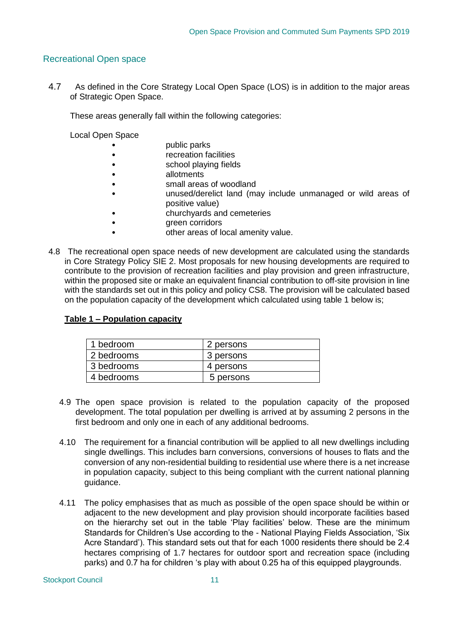# Recreational Open space

4.7 As defined in the Core Strategy Local Open Space (LOS) is in addition to the major areas of Strategic Open Space.

These areas generally fall within the following categories:

Local Open Space

- **bublic parks**
- recreation facilities
- school playing fields
- allotments
- small areas of woodland
- unused/derelict land (may include unmanaged or wild areas of positive value)
- churchyards and cemeteries
	- green corridors
- other areas of local amenity value.
- 4.8 The recreational open space needs of new development are calculated using the standards in Core Strategy Policy SIE 2. Most proposals for new housing developments are required to contribute to the provision of recreation facilities and play provision and green infrastructure, within the proposed site or make an equivalent financial contribution to off-site provision in line with the standards set out in this policy and policy CS8. The provision will be calculated based on the population capacity of the development which calculated using table 1 below is;

#### **Table 1 – Population capacity**

| 1 bedroom  | 2 persons |
|------------|-----------|
| 2 bedrooms | 3 persons |
| 3 bedrooms | 4 persons |
| 4 bedrooms | 5 persons |

- 4.9 The open space provision is related to the population capacity of the proposed development. The total population per dwelling is arrived at by assuming 2 persons in the first bedroom and only one in each of any additional bedrooms.
- 4.10 The requirement for a financial contribution will be applied to all new dwellings including single dwellings. This includes barn conversions, conversions of houses to flats and the conversion of any non-residential building to residential use where there is a net increase in population capacity, subject to this being compliant with the current national planning guidance.
- 4.11 The policy emphasises that as much as possible of the open space should be within or adjacent to the new development and play provision should incorporate facilities based on the hierarchy set out in the table 'Play facilities' below. These are the minimum Standards for Children's Use according to the - National Playing Fields Association, 'Six Acre Standard'). This standard sets out that for each 1000 residents there should be 2.4 hectares comprising of 1.7 hectares for outdoor sport and recreation space (including parks) and 0.7 ha for children 's play with about 0.25 ha of this equipped playgrounds.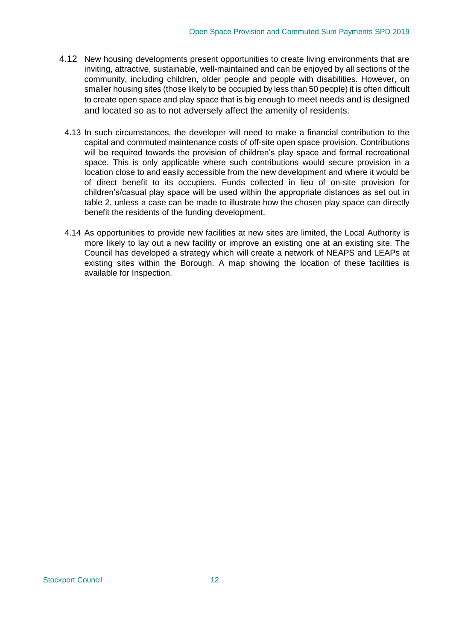- 4.12 New housing developments present opportunities to create living environments that are inviting, attractive, sustainable, well-maintained and can be enjoyed by all sections of the community, including children, older people and people with disabilities. However, on smaller housing sites (those likely to be occupied by less than 50 people) it is often difficult to create open space and play space that is big enough to meet needs and is designed and located so as to not adversely affect the amenity of residents.
	- 4.13 In such circumstances, the developer will need to make a financial contribution to the capital and commuted maintenance costs of off-site open space provision. Contributions will be required towards the provision of children's play space and formal recreational space. This is only applicable where such contributions would secure provision in a location close to and easily accessible from the new development and where it would be of direct benefit to its occupiers. Funds collected in lieu of on-site provision for children's/casual play space will be used within the appropriate distances as set out in table 2, unless a case can be made to illustrate how the chosen play space can directly benefit the residents of the funding development.
	- 4.14 As opportunities to provide new facilities at new sites are limited, the Local Authority is more likely to lay out a new facility or improve an existing one at an existing site. The Council has developed a strategy which will create a network of NEAPS and LEAPs at existing sites within the Borough. A map showing the location of these facilities is available for Inspection.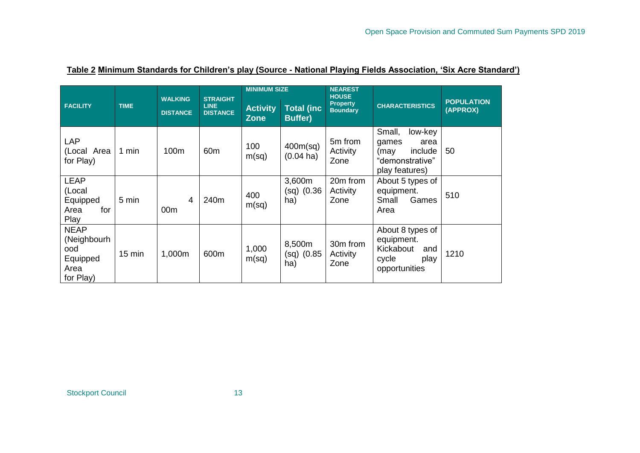|                                                                    | <b>TIME</b>      | <b>WALKING</b><br><b>DISTANCE</b> | <b>STRAIGHT</b><br><b>LINE</b><br><b>DISTANCE</b> | <b>MINIMUM SIZE</b>            |                                      | <b>NEAREST</b><br><b>HOUSE</b>     |                                                                                            |                               |
|--------------------------------------------------------------------|------------------|-----------------------------------|---------------------------------------------------|--------------------------------|--------------------------------------|------------------------------------|--------------------------------------------------------------------------------------------|-------------------------------|
| <b>FACILITY</b>                                                    |                  |                                   |                                                   | <b>Activity</b><br><b>Zone</b> | <b>Total (inc)</b><br><b>Buffer)</b> | <b>Property</b><br><b>Boundary</b> | <b>CHARACTERISTICS</b>                                                                     | <b>POPULATION</b><br>(APPROX) |
| <b>LAP</b><br>(Local Area<br>for Play)                             | 1 min            | 100m                              | 60 <sub>m</sub>                                   | 100<br>m(sq)                   | 400m(sq)<br>$(0.04 \text{ ha})$      | 5m from<br>Activity<br>Zone        | Small,<br>low-key<br>games<br>area<br>(may<br>include<br>"demonstrative"<br>play features) | 50                            |
| <b>LEAP</b><br>(Local<br>Equipped<br>Area<br>for<br>Play           | 5 min            | $\overline{4}$<br>00m             | 240m                                              | 400<br>m(sq)                   | 3,600m<br>$(sq)$ (0.36<br>ha)        | 20m from<br>Activity<br>Zone       | About 5 types of<br>equipment.<br>Small<br>Games<br>Area                                   | 510                           |
| <b>NEAP</b><br>(Neighbourh<br>ood<br>Equipped<br>Area<br>for Play) | $15 \text{ min}$ | 1,000m                            | 600m                                              | 1,000<br>m(sq)                 | 8,500m<br>$(sq)$ (0.85<br>ha)        | 30m from<br>Activity<br>Zone       | About 8 types of<br>equipment.<br>Kickabout<br>and<br>cycle<br>play<br>opportunities       | 1210                          |

# **Table 2 Minimum Standards for Children's play (Source - National Playing Fields Association, 'Six Acre Standard')**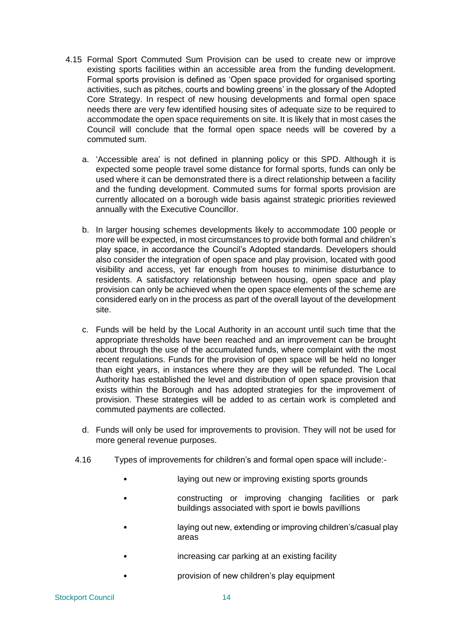- 4.15 Formal Sport Commuted Sum Provision can be used to create new or improve existing sports facilities within an accessible area from the funding development. Formal sports provision is defined as 'Open space provided for organised sporting activities, such as pitches, courts and bowling greens' in the glossary of the Adopted Core Strategy. In respect of new housing developments and formal open space needs there are very few identified housing sites of adequate size to be required to accommodate the open space requirements on site. It is likely that in most cases the Council will conclude that the formal open space needs will be covered by a commuted sum.
	- a. 'Accessible area' is not defined in planning policy or this SPD. Although it is expected some people travel some distance for formal sports, funds can only be used where it can be demonstrated there is a direct relationship between a facility and the funding development. Commuted sums for formal sports provision are currently allocated on a borough wide basis against strategic priorities reviewed annually with the Executive Councillor.
	- b. In larger housing schemes developments likely to accommodate 100 people or more will be expected, in most circumstances to provide both formal and children's play space, in accordance the Council's Adopted standards. Developers should also consider the integration of open space and play provision, located with good visibility and access, yet far enough from houses to minimise disturbance to residents. A satisfactory relationship between housing, open space and play provision can only be achieved when the open space elements of the scheme are considered early on in the process as part of the overall layout of the development site.
	- c. Funds will be held by the Local Authority in an account until such time that the appropriate thresholds have been reached and an improvement can be brought about through the use of the accumulated funds, where complaint with the most recent regulations. Funds for the provision of open space will be held no longer than eight years, in instances where they are they will be refunded. The Local Authority has established the level and distribution of open space provision that exists within the Borough and has adopted strategies for the improvement of provision. These strategies will be added to as certain work is completed and commuted payments are collected.
	- d. Funds will only be used for improvements to provision. They will not be used for more general revenue purposes.
	- 4.16 Types of improvements for children's and formal open space will include:-
		- laying out new or improving existing sports grounds
		- constructing or improving changing facilities or park buildings associated with sport ie bowls pavillions
		- laying out new, extending or improving children's/casual play areas
		- increasing car parking at an existing facility
		- provision of new children's play equipment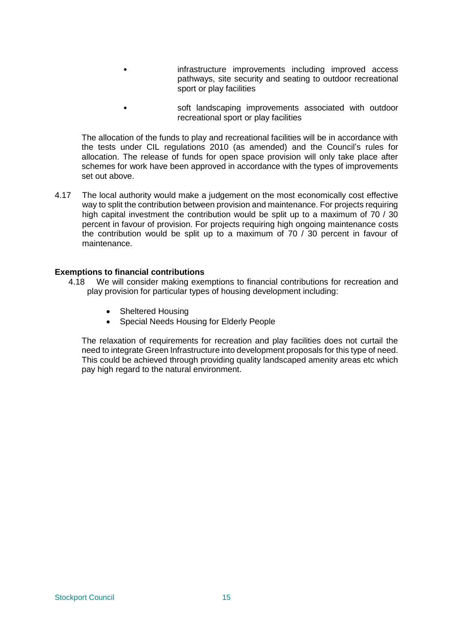- infrastructure improvements including improved access pathways, site security and seating to outdoor recreational sport or play facilities
- soft landscaping improvements associated with outdoor recreational sport or play facilities

The allocation of the funds to play and recreational facilities will be in accordance with the tests under CIL regulations 2010 (as amended) and the Council's rules for allocation. The release of funds for open space provision will only take place after schemes for work have been approved in accordance with the types of improvements set out above.

4.17 The local authority would make a judgement on the most economically cost effective way to split the contribution between provision and maintenance. For projects requiring high capital investment the contribution would be split up to a maximum of 70 / 30 percent in favour of provision. For projects requiring high ongoing maintenance costs the contribution would be split up to a maximum of 70 / 30 percent in favour of maintenance.

#### **Exemptions to financial contributions**

- 4.18 We will consider making exemptions to financial contributions for recreation and play provision for particular types of housing development including:
	- Sheltered Housing
	- Special Needs Housing for Elderly People

The relaxation of requirements for recreation and play facilities does not curtail the need to integrate Green Infrastructure into development proposals for this type of need. This could be achieved through providing quality landscaped amenity areas etc which pay high regard to the natural environment.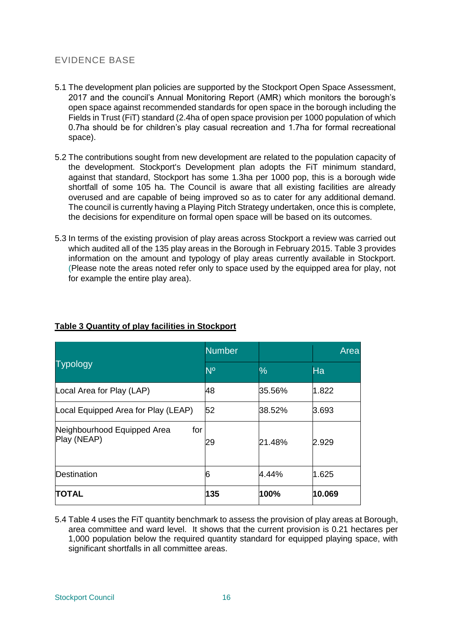# EVIDENCE BASE

- 5.1 The development plan policies are supported by the Stockport Open Space Assessment, 2017 and the council's Annual Monitoring Report (AMR) which monitors the borough's open space against recommended standards for open space in the borough including the Fields in Trust (FiT) standard (2.4ha of open space provision per 1000 population of which 0.7ha should be for children's play casual recreation and 1.7ha for formal recreational space).
- 5.2 The contributions sought from new development are related to the population capacity of the development. Stockport's Development plan adopts the FiT minimum standard, against that standard, Stockport has some 1.3ha per 1000 pop, this is a borough wide shortfall of some 105 ha. The Council is aware that all existing facilities are already overused and are capable of being improved so as to cater for any additional demand. The council is currently having a Playing Pitch Strategy undertaken, once this is complete, the decisions for expenditure on formal open space will be based on its outcomes.
- 5.3 In terms of the existing provision of play areas across Stockport a review was carried out which audited all of the 135 play areas in the Borough in February 2015. Table 3 provides information on the amount and typology of play areas currently available in Stockport. (Please note the areas noted refer only to space used by the equipped area for play, not for example the entire play area).

|                                                   | <b>Number</b>  |        | Area   |
|---------------------------------------------------|----------------|--------|--------|
| <b>Typology</b>                                   | N <sup>o</sup> | %      | Ha     |
| Local Area for Play (LAP)                         | 48             | 35.56% | 1.822  |
| Local Equipped Area for Play (LEAP)               | 52             | 38.52% | 3.693  |
| Neighbourhood Equipped Area<br>for<br>Play (NEAP) | 29             | 21.48% | 2.929  |
| Destination                                       | 6              | 4.44%  | 1.625  |
| <b>TOTAL</b>                                      | 135            | 100%   | 10.069 |

# **Table 3 Quantity of play facilities in Stockport**

5.4 Table 4 uses the FiT quantity benchmark to assess the provision of play areas at Borough, area committee and ward level. It shows that the current provision is 0.21 hectares per 1,000 population below the required quantity standard for equipped playing space, with significant shortfalls in all committee areas.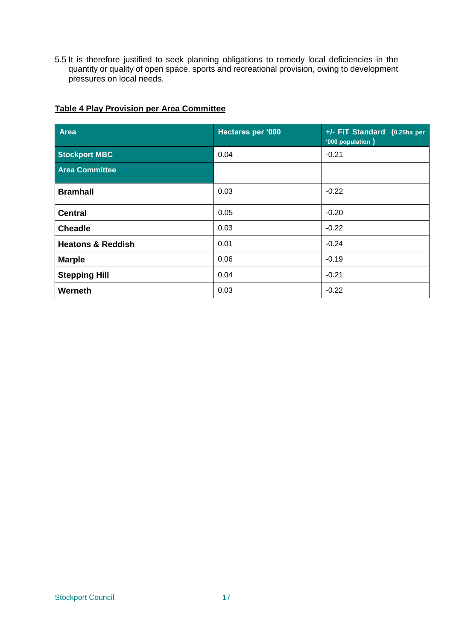5.5 It is therefore justified to seek planning obligations to remedy local deficiencies in the quantity or quality of open space, sports and recreational provision, owing to development pressures on local needs.

| <b>Area</b>                  | Hectares per '000 | +/- FiT Standard (0.25ha per<br>'000 population ) |
|------------------------------|-------------------|---------------------------------------------------|
| <b>Stockport MBC</b>         | 0.04              | $-0.21$                                           |
| <b>Area Committee</b>        |                   |                                                   |
| <b>Bramhall</b>              | 0.03              | $-0.22$                                           |
| <b>Central</b>               | 0.05              | $-0.20$                                           |
| <b>Cheadle</b>               | 0.03              | $-0.22$                                           |
| <b>Heatons &amp; Reddish</b> | 0.01              | $-0.24$                                           |
| <b>Marple</b>                | 0.06              | $-0.19$                                           |
| <b>Stepping Hill</b>         | 0.04              | $-0.21$                                           |
| Werneth                      | 0.03              | $-0.22$                                           |

# **Table 4 Play Provision per Area Committee**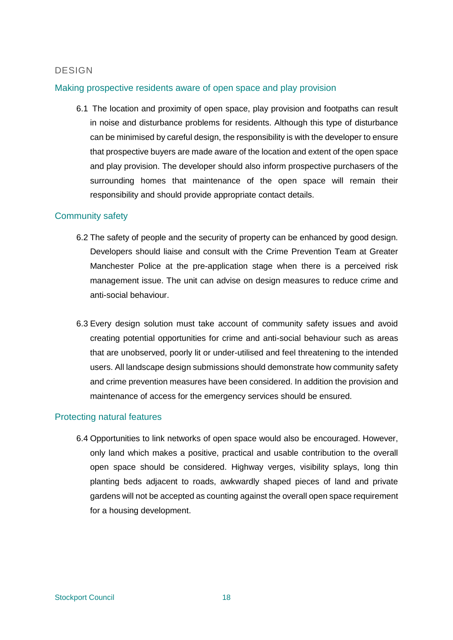# **DESIGN**

# Making prospective residents aware of open space and play provision

6.1 The location and proximity of open space, play provision and footpaths can result in noise and disturbance problems for residents. Although this type of disturbance can be minimised by careful design, the responsibility is with the developer to ensure that prospective buyers are made aware of the location and extent of the open space and play provision. The developer should also inform prospective purchasers of the surrounding homes that maintenance of the open space will remain their responsibility and should provide appropriate contact details.

# Community safety

- 6.2 The safety of people and the security of property can be enhanced by good design. Developers should liaise and consult with the Crime Prevention Team at Greater Manchester Police at the pre-application stage when there is a perceived risk management issue. The unit can advise on design measures to reduce crime and anti-social behaviour.
- 6.3 Every design solution must take account of community safety issues and avoid creating potential opportunities for crime and anti-social behaviour such as areas that are unobserved, poorly lit or under-utilised and feel threatening to the intended users. All landscape design submissions should demonstrate how community safety and crime prevention measures have been considered. In addition the provision and maintenance of access for the emergency services should be ensured.

# Protecting natural features

6.4 Opportunities to link networks of open space would also be encouraged. However, only land which makes a positive, practical and usable contribution to the overall open space should be considered. Highway verges, visibility splays, long thin planting beds adjacent to roads, awkwardly shaped pieces of land and private gardens will not be accepted as counting against the overall open space requirement for a housing development.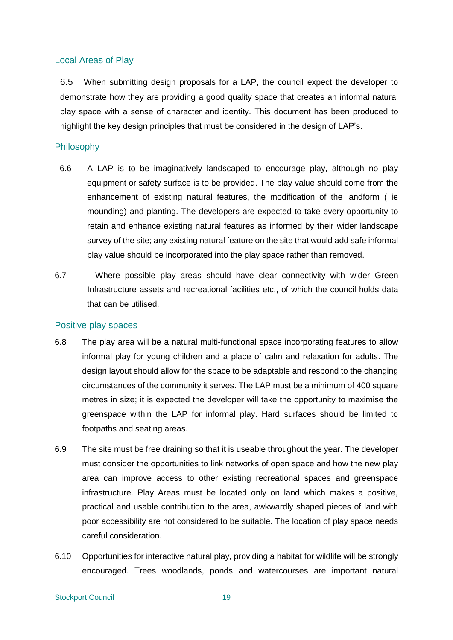## Local Areas of Play

6.5 When submitting design proposals for a LAP, the council expect the developer to demonstrate how they are providing a good quality space that creates an informal natural play space with a sense of character and identity. This document has been produced to highlight the key design principles that must be considered in the design of LAP's.

## Philosophy

- 6.6 A LAP is to be imaginatively landscaped to encourage play, although no play equipment or safety surface is to be provided. The play value should come from the enhancement of existing natural features, the modification of the landform ( ie mounding) and planting. The developers are expected to take every opportunity to retain and enhance existing natural features as informed by their wider landscape survey of the site; any existing natural feature on the site that would add safe informal play value should be incorporated into the play space rather than removed.
- 6.7 Where possible play areas should have clear connectivity with wider Green Infrastructure assets and recreational facilities etc., of which the council holds data that can be utilised.

#### Positive play spaces

- 6.8 The play area will be a natural multi-functional space incorporating features to allow informal play for young children and a place of calm and relaxation for adults. The design layout should allow for the space to be adaptable and respond to the changing circumstances of the community it serves. The LAP must be a minimum of 400 square metres in size; it is expected the developer will take the opportunity to maximise the greenspace within the LAP for informal play. Hard surfaces should be limited to footpaths and seating areas.
- 6.9 The site must be free draining so that it is useable throughout the year. The developer must consider the opportunities to link networks of open space and how the new play area can improve access to other existing recreational spaces and greenspace infrastructure. Play Areas must be located only on land which makes a positive, practical and usable contribution to the area, awkwardly shaped pieces of land with poor accessibility are not considered to be suitable. The location of play space needs careful consideration.
- 6.10 Opportunities for interactive natural play, providing a habitat for wildlife will be strongly encouraged. Trees woodlands, ponds and watercourses are important natural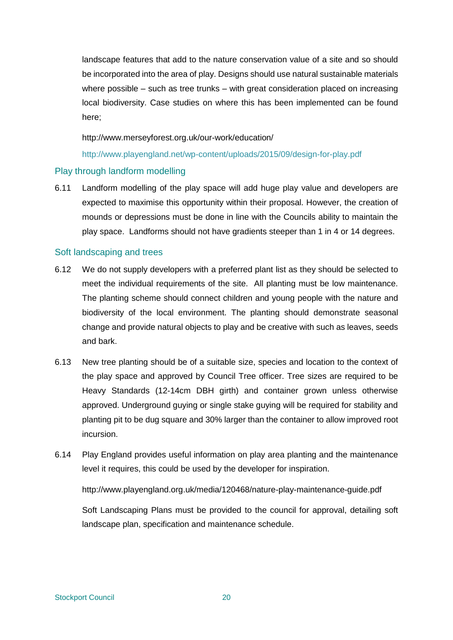landscape features that add to the nature conservation value of a site and so should be incorporated into the area of play. Designs should use natural sustainable materials where possible – such as tree trunks – with great consideration placed on increasing local biodiversity. Case studies on where this has been implemented can be found here;

#### <http://www.merseyforest.org.uk/our-work/education/>

<http://www.playengland.net/wp-content/uploads/2015/09/design-for-play.pdf>

## Play through landform modelling

6.11 Landform modelling of the play space will add huge play value and developers are expected to maximise this opportunity within their proposal. However, the creation of mounds or depressions must be done in line with the Councils ability to maintain the play space. Landforms should not have gradients steeper than 1 in 4 or 14 degrees.

## Soft landscaping and trees

- 6.12 We do not supply developers with a preferred plant list as they should be selected to meet the individual requirements of the site. All planting must be low maintenance. The planting scheme should connect children and young people with the nature and biodiversity of the local environment. The planting should demonstrate seasonal change and provide natural objects to play and be creative with such as leaves, seeds and bark.
- 6.13 New tree planting should be of a suitable size, species and location to the context of the play space and approved by Council Tree officer. Tree sizes are required to be Heavy Standards (12-14cm DBH girth) and container grown unless otherwise approved. Underground guying or single stake guying will be required for stability and planting pit to be dug square and 30% larger than the container to allow improved root incursion.
- 6.14 Play England provides useful information on play area planting and the maintenance level it requires, this could be used by the developer for inspiration.

<http://www.playengland.org.uk/media/120468/nature-play-maintenance-guide.pdf>

Soft Landscaping Plans must be provided to the council for approval, detailing soft landscape plan, specification and maintenance schedule.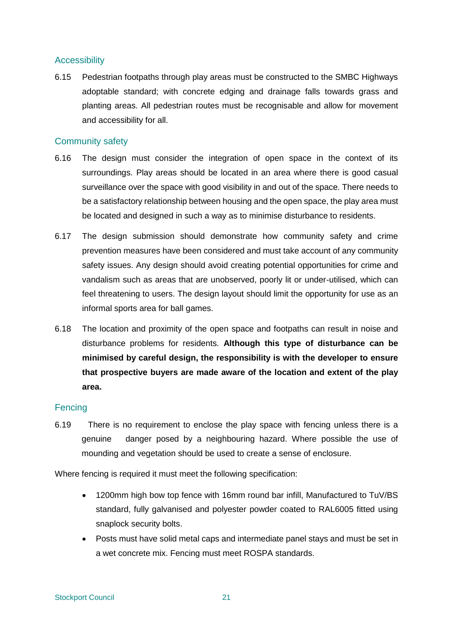# **Accessibility**

6.15 Pedestrian footpaths through play areas must be constructed to the SMBC Highways adoptable standard; with concrete edging and drainage falls towards grass and planting areas. All pedestrian routes must be recognisable and allow for movement and accessibility for all.

# Community safety

- 6.16 The design must consider the integration of open space in the context of its surroundings. Play areas should be located in an area where there is good casual surveillance over the space with good visibility in and out of the space. There needs to be a satisfactory relationship between housing and the open space, the play area must be located and designed in such a way as to minimise disturbance to residents.
- 6.17 The design submission should demonstrate how community safety and crime prevention measures have been considered and must take account of any community safety issues. Any design should avoid creating potential opportunities for crime and vandalism such as areas that are unobserved, poorly lit or under-utilised, which can feel threatening to users. The design layout should limit the opportunity for use as an informal sports area for ball games.
- 6.18 The location and proximity of the open space and footpaths can result in noise and disturbance problems for residents. **Although this type of disturbance can be minimised by careful design, the responsibility is with the developer to ensure that prospective buyers are made aware of the location and extent of the play area.**

## **Fencing**

6.19 There is no requirement to enclose the play space with fencing unless there is a genuine danger posed by a neighbouring hazard. Where possible the use of mounding and vegetation should be used to create a sense of enclosure.

Where fencing is required it must meet the following specification:

- 1200mm high bow top fence with 16mm round bar infill, Manufactured to TuV/BS standard, fully galvanised and polyester powder coated to RAL6005 fitted using snaplock security bolts.
- Posts must have solid metal caps and intermediate panel stays and must be set in a wet concrete mix. Fencing must meet ROSPA standards.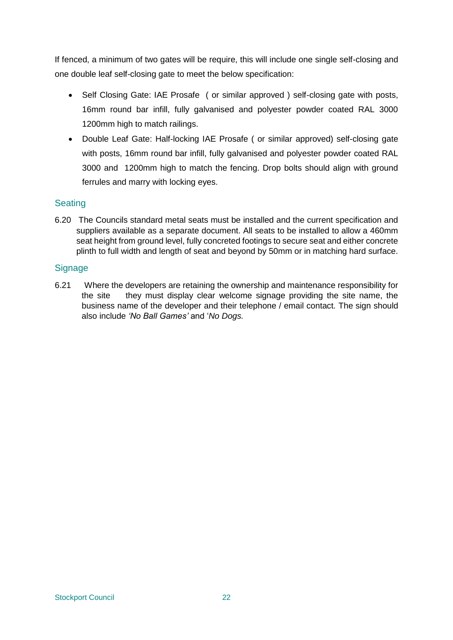If fenced, a minimum of two gates will be require, this will include one single self-closing and one double leaf self-closing gate to meet the below specification:

- Self Closing Gate: IAE Prosafe ( or similar approved ) self-closing gate with posts, 16mm round bar infill, fully galvanised and polyester powder coated RAL 3000 1200mm high to match railings.
- Double Leaf Gate: Half-locking IAE Prosafe ( or similar approved) self-closing gate with posts, 16mm round bar infill, fully galvanised and polyester powder coated RAL 3000 and 1200mm high to match the fencing. Drop bolts should align with ground ferrules and marry with locking eyes.

# **Seating**

6.20 The Councils standard metal seats must be installed and the current specification and suppliers available as a separate document. All seats to be installed to allow a 460mm seat height from ground level, fully concreted footings to secure seat and either concrete plinth to full width and length of seat and beyond by 50mm or in matching hard surface.

# **Signage**

6.21 Where the developers are retaining the ownership and maintenance responsibility for the site they must display clear welcome signage providing the site name, the business name of the developer and their telephone / email contact. The sign should also include *'No Ball Games'* and '*No Dogs.*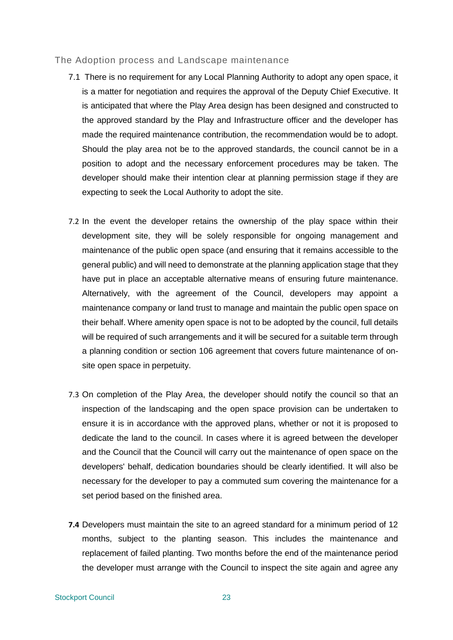#### The Adoption process and Landscape maintenance

- 7.1 There is no requirement for any Local Planning Authority to adopt any open space, it is a matter for negotiation and requires the approval of the Deputy Chief Executive. It is anticipated that where the Play Area design has been designed and constructed to the approved standard by the Play and Infrastructure officer and the developer has made the required maintenance contribution, the recommendation would be to adopt. Should the play area not be to the approved standards, the council cannot be in a position to adopt and the necessary enforcement procedures may be taken. The developer should make their intention clear at planning permission stage if they are expecting to seek the Local Authority to adopt the site.
- 7.2 In the event the developer retains the ownership of the play space within their development site, they will be solely responsible for ongoing management and maintenance of the public open space (and ensuring that it remains accessible to the general public) and will need to demonstrate at the planning application stage that they have put in place an acceptable alternative means of ensuring future maintenance. Alternatively, with the agreement of the Council, developers may appoint a maintenance company or land trust to manage and maintain the public open space on their behalf. Where amenity open space is not to be adopted by the council, full details will be required of such arrangements and it will be secured for a suitable term through a planning condition or section 106 agreement that covers future maintenance of onsite open space in perpetuity.
- 7.3 On completion of the Play Area, the developer should notify the council so that an inspection of the landscaping and the open space provision can be undertaken to ensure it is in accordance with the approved plans, whether or not it is proposed to dedicate the land to the council. In cases where it is agreed between the developer and the Council that the Council will carry out the maintenance of open space on the developers' behalf, dedication boundaries should be clearly identified. It will also be necessary for the developer to pay a commuted sum covering the maintenance for a set period based on the finished area.
- **7.4** Developers must maintain the site to an agreed standard for a minimum period of 12 months, subject to the planting season. This includes the maintenance and replacement of failed planting. Two months before the end of the maintenance period the developer must arrange with the Council to inspect the site again and agree any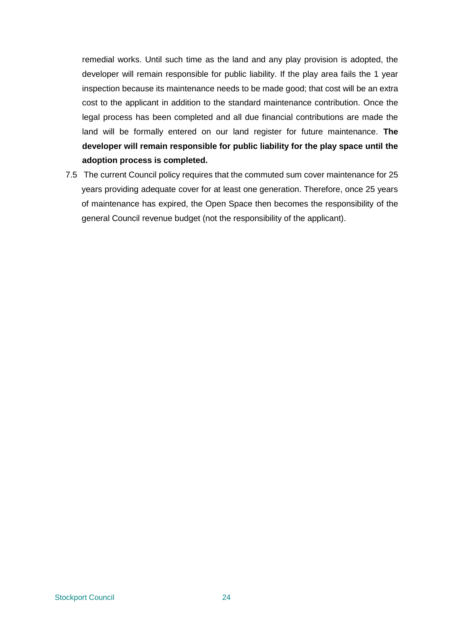remedial works. Until such time as the land and any play provision is adopted, the developer will remain responsible for public liability. If the play area fails the 1 year inspection because its maintenance needs to be made good; that cost will be an extra cost to the applicant in addition to the standard maintenance contribution. Once the legal process has been completed and all due financial contributions are made the land will be formally entered on our land register for future maintenance. **The developer will remain responsible for public liability for the play space until the adoption process is completed.**

7.5 The current Council policy requires that the commuted sum cover maintenance for 25 years providing adequate cover for at least one generation. Therefore, once 25 years of maintenance has expired, the Open Space then becomes the responsibility of the general Council revenue budget (not the responsibility of the applicant).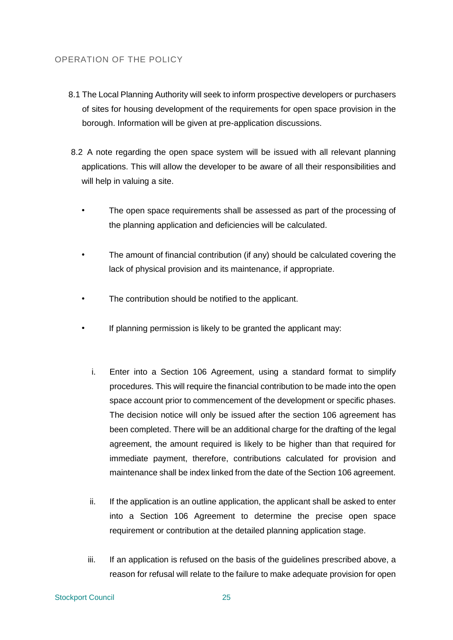# OPERATION OF THE POLICY

- 8.1 The Local Planning Authority will seek to inform prospective developers or purchasers of sites for housing development of the requirements for open space provision in the borough. Information will be given at pre-application discussions.
- 8.2 A note regarding the open space system will be issued with all relevant planning applications. This will allow the developer to be aware of all their responsibilities and will help in valuing a site.
	- The open space requirements shall be assessed as part of the processing of the planning application and deficiencies will be calculated.
	- The amount of financial contribution (if any) should be calculated covering the lack of physical provision and its maintenance, if appropriate.
	- The contribution should be notified to the applicant.
	- If planning permission is likely to be granted the applicant may:
		- i. Enter into a Section 106 Agreement, using a standard format to simplify procedures. This will require the financial contribution to be made into the open space account prior to commencement of the development or specific phases. The decision notice will only be issued after the section 106 agreement has been completed. There will be an additional charge for the drafting of the legal agreement, the amount required is likely to be higher than that required for immediate payment, therefore, contributions calculated for provision and maintenance shall be index linked from the date of the Section 106 agreement.
		- ii. If the application is an outline application, the applicant shall be asked to enter into a Section 106 Agreement to determine the precise open space requirement or contribution at the detailed planning application stage.
		- iii. If an application is refused on the basis of the guidelines prescribed above, a reason for refusal will relate to the failure to make adequate provision for open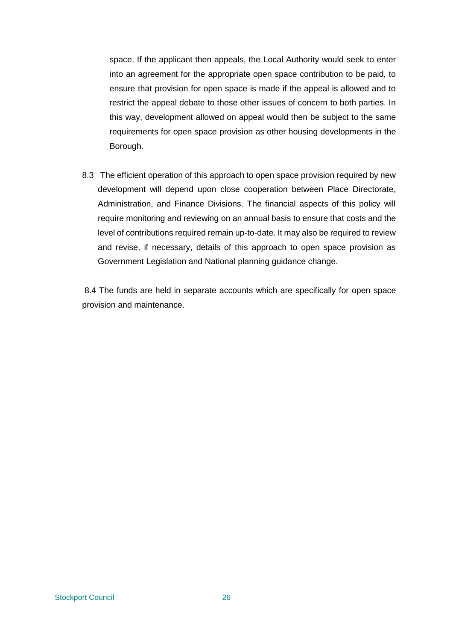space. If the applicant then appeals, the Local Authority would seek to enter into an agreement for the appropriate open space contribution to be paid, to ensure that provision for open space is made if the appeal is allowed and to restrict the appeal debate to those other issues of concern to both parties. In this way, development allowed on appeal would then be subject to the same requirements for open space provision as other housing developments in the Borough.

8.3 The efficient operation of this approach to open space provision required by new development will depend upon close cooperation between Place Directorate, Administration, and Finance Divisions. The financial aspects of this policy will require monitoring and reviewing on an annual basis to ensure that costs and the level of contributions required remain up-to-date. It may also be required to review and revise, if necessary, details of this approach to open space provision as Government Legislation and National planning guidance change.

8.4 The funds are held in separate accounts which are specifically for open space provision and maintenance.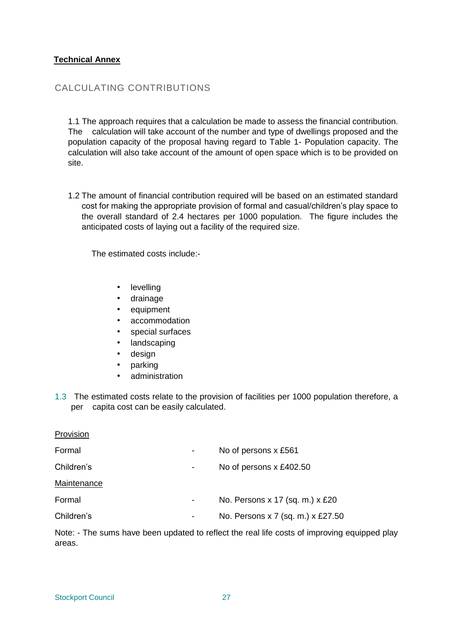# **Technical Annex**

# CALCULATING CONTRIBUTIONS

1.1 The approach requires that a calculation be made to assess the financial contribution. The calculation will take account of the number and type of dwellings proposed and the population capacity of the proposal having regard to Table 1- Population capacity. The calculation will also take account of the amount of open space which is to be provided on site.

1.2 The amount of financial contribution required will be based on an estimated standard cost for making the appropriate provision of formal and casual/children's play space to the overall standard of 2.4 hectares per 1000 population. The figure includes the anticipated costs of laying out a facility of the required size.

The estimated costs include:-

- levelling
- drainage
- equipment
- accommodation
- special surfaces
- landscaping
- design
- parking
- administration
- 1.3 The estimated costs relate to the provision of facilities per 1000 population therefore, a per capita cost can be easily calculated.

| Provision          |                          |                                   |
|--------------------|--------------------------|-----------------------------------|
| Formal             | $\overline{\phantom{a}}$ | No of persons x £561              |
| Children's         | $\overline{\phantom{a}}$ | No of persons x £402.50           |
| <b>Maintenance</b> |                          |                                   |
| Formal             | $\overline{\phantom{a}}$ | No. Persons x 17 (sq. m.) x £20   |
| Children's         | ٠                        | No. Persons x 7 (sq. m.) x £27.50 |
|                    |                          |                                   |

Note: - The sums have been updated to reflect the real life costs of improving equipped play areas.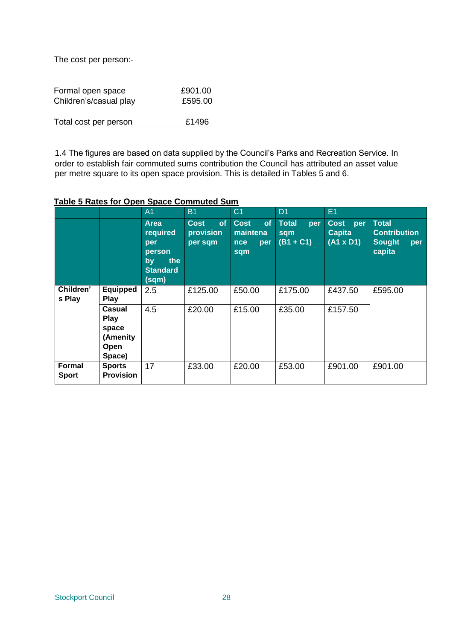The cost per person:-

| Formal open space      | £901.00 |
|------------------------|---------|
| Children's/casual play | £595.00 |
|                        |         |

Total cost per person E1496

1.4 The figures are based on data supplied by the Council's Parks and Recreation Service. In order to establish fair commuted sums contribution the Council has attributed an asset value per metre square to its open space provision. This is detailed in Tables 5 and 6.

# **Table 5 Rates for Open Space Commuted Sum**

|                        |                                                              | A <sub>1</sub>                                                                    | <b>B1</b>                                        | C <sub>1</sub>                                            | D <sub>1</sub>                            | E <sub>1</sub>                                |                                                                |
|------------------------|--------------------------------------------------------------|-----------------------------------------------------------------------------------|--------------------------------------------------|-----------------------------------------------------------|-------------------------------------------|-----------------------------------------------|----------------------------------------------------------------|
|                        |                                                              | <b>Area</b><br>required<br>per<br>person<br>the<br>by<br><b>Standard</b><br>(sqm) | <b>of</b><br><b>Cost</b><br>provision<br>per sqm | <b>Cost</b><br>of<br>maintena<br><b>nce</b><br>per<br>sqm | <b>Total</b><br>per<br>sqm<br>$(B1 + C1)$ | Cost per<br><b>Capita</b><br>$(A1 \times D1)$ | Total<br><b>Contribution</b><br><b>Sought</b><br>per<br>capita |
| Children'<br>s Play    | <b>Equipped</b><br>Play                                      | 2.5                                                                               | £125.00                                          | £50.00                                                    | £175.00                                   | £437.50                                       | £595.00                                                        |
|                        | Casual<br>Play<br>space<br>(Amenity<br><b>Open</b><br>Space) | 4.5                                                                               | £20.00                                           | £15.00                                                    | £35.00                                    | £157.50                                       |                                                                |
| Formal<br><b>Sport</b> | <b>Sports</b><br><b>Provision</b>                            | 17                                                                                | £33.00                                           | £20.00                                                    | £53.00                                    | £901.00                                       | £901.00                                                        |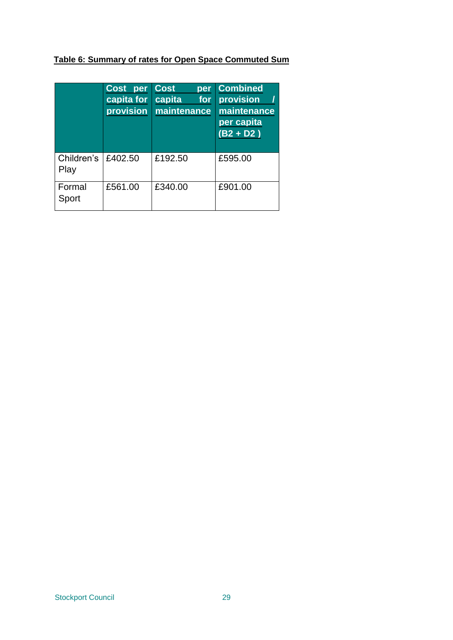# **Table 6: Summary of rates for Open Space Commuted Sum**

|                    | Cost<br>per<br>capita for<br>provision | <b>Cost</b><br>per<br>capita<br>for<br>maintenance | <b>Combined</b><br>provision<br>maintenance<br>per capita<br>$(B2 + D2)$ |
|--------------------|----------------------------------------|----------------------------------------------------|--------------------------------------------------------------------------|
| Children's<br>Play | £402.50                                | £192.50                                            | £595.00                                                                  |
| Formal<br>Sport    | £561.00                                | £340.00                                            | £901.00                                                                  |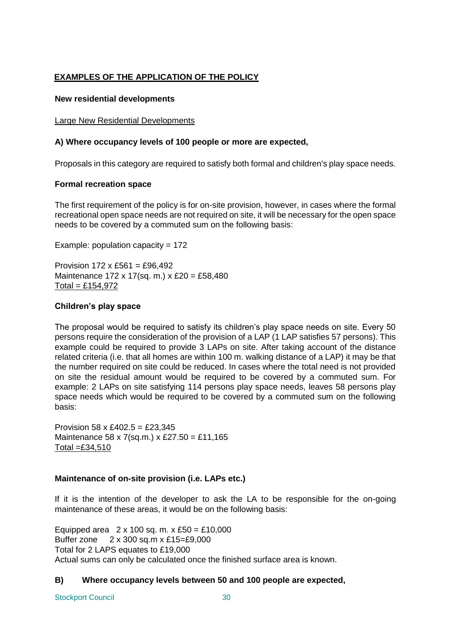# **EXAMPLES OF THE APPLICATION OF THE POLICY**

#### **New residential developments**

#### Large New Residential Developments

## **A) Where occupancy levels of 100 people or more are expected,**

Proposals in this category are required to satisfy both formal and children's play space needs.

#### **Formal recreation space**

The first requirement of the policy is for on-site provision, however, in cases where the formal recreational open space needs are not required on site, it will be necessary for the open space needs to be covered by a commuted sum on the following basis:

Example: population capacity =  $172$ 

Provision  $172 \times £561 = £96.492$ Maintenance 172 x 17(sq. m.) x £20 = £58,480  $Total = £154,972$ 

#### **Children's play space**

The proposal would be required to satisfy its children's play space needs on site. Every 50 persons require the consideration of the provision of a LAP (1 LAP satisfies 57 persons). This example could be required to provide 3 LAPs on site. After taking account of the distance related criteria (i.e. that all homes are within 100 m. walking distance of a LAP) it may be that the number required on site could be reduced. In cases where the total need is not provided on site the residual amount would be required to be covered by a commuted sum. For example: 2 LAPs on site satisfying 114 persons play space needs, leaves 58 persons play space needs which would be required to be covered by a commuted sum on the following basis:

Provision 58 x £402.5 = £23,345 Maintenance 58 x 7(sq.m.) x £27.50 = £11,165 Total  $=$ £34.510

## **Maintenance of on-site provision (i.e. LAPs etc.)**

If it is the intention of the developer to ask the LA to be responsible for the on-going maintenance of these areas, it would be on the following basis:

Equipped area  $2 \times 100$  sq. m.  $x \text{ £50} = £10,000$ Buffer zone 2 x 300 sq.m x £15=£9,000 Total for 2 LAPS equates to £19,000 Actual sums can only be calculated once the finished surface area is known.

## **B) Where occupancy levels between 50 and 100 people are expected,**

Stockport Council 30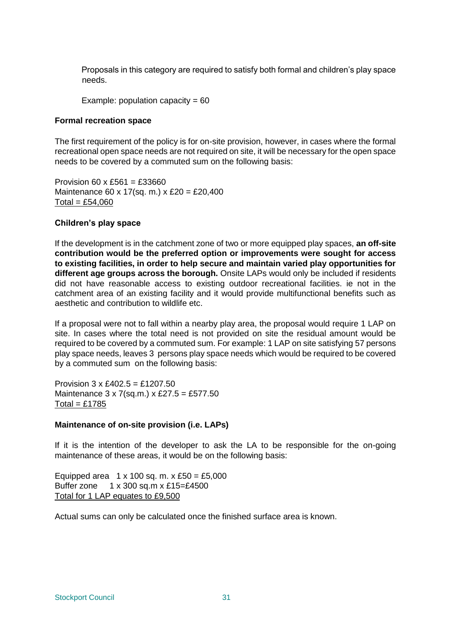Proposals in this category are required to satisfy both formal and children's play space needs.

Example: population capacity =  $60$ 

#### **Formal recreation space**

The first requirement of the policy is for on-site provision, however, in cases where the formal recreational open space needs are not required on site, it will be necessary for the open space needs to be covered by a commuted sum on the following basis:

Provision 60 x £561 = £33660 Maintenance 60 x 17(sq. m.) x £20 = £20,400  $Total = £54,060$ 

#### **Children's play space**

If the development is in the catchment zone of two or more equipped play spaces, **an off-site contribution would be the preferred option or improvements were sought for access to existing facilities, in order to help secure and maintain varied play opportunities for different age groups across the borough.** Onsite LAPs would only be included if residents did not have reasonable access to existing outdoor recreational facilities. ie not in the catchment area of an existing facility and it would provide multifunctional benefits such as aesthetic and contribution to wildlife etc.

If a proposal were not to fall within a nearby play area, the proposal would require 1 LAP on site. In cases where the total need is not provided on site the residual amount would be required to be covered by a commuted sum. For example: 1 LAP on site satisfying 57 persons play space needs, leaves 3 persons play space needs which would be required to be covered by a commuted sum on the following basis:

Provision 3 x £402.5 = £1207.50 Maintenance 3 x 7(sq.m.) x £27.5 = £577.50  $Total = £1785$ 

#### **Maintenance of on-site provision (i.e. LAPs)**

If it is the intention of the developer to ask the LA to be responsible for the on-going maintenance of these areas, it would be on the following basis:

Equipped area  $1 \times 100$  sq. m. x £50 = £5,000 Buffer zone 1 x 300 sq.m x £15=£4500 Total for 1 LAP equates to £9,500

Actual sums can only be calculated once the finished surface area is known.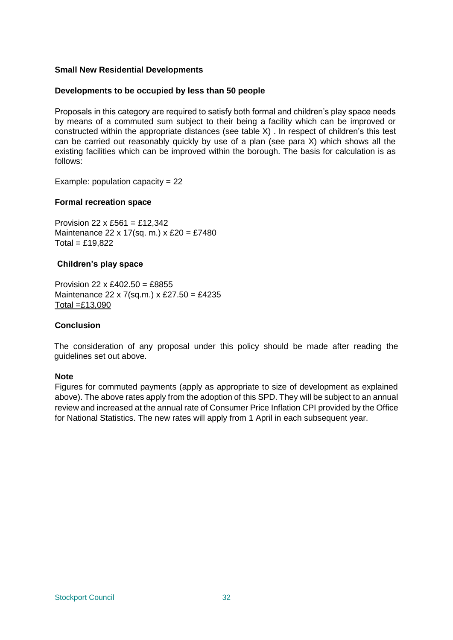#### **Small New Residential Developments**

#### **Developments to be occupied by less than 50 people**

Proposals in this category are required to satisfy both formal and children's play space needs by means of a commuted sum subject to their being a facility which can be improved or constructed within the appropriate distances (see table X) . In respect of children's this test can be carried out reasonably quickly by use of a plan (see para X) which shows all the existing facilities which can be improved within the borough. The basis for calculation is as follows:

Example: population capacity =  $22$ 

#### **Formal recreation space**

Provision 22 x £561 = £12,342 Maintenance 22 x 17(sq. m.) x £20 = £7480  $Total = £19.822$ 

#### **Children's play space**

Provision 22 x  $£402.50 = £8855$ Maintenance 22 x 7(sq.m.) x £27.50 = £4235 Total  $=$  £13,090

#### **Conclusion**

The consideration of any proposal under this policy should be made after reading the guidelines set out above.

#### **Note**

Figures for commuted payments (apply as appropriate to size of development as explained above). The above rates apply from the adoption of this SPD. They will be subject to an annual review and increased at the annual rate of Consumer Price Inflation CPI provided by the Office for National Statistics. The new rates will apply from 1 April in each subsequent year.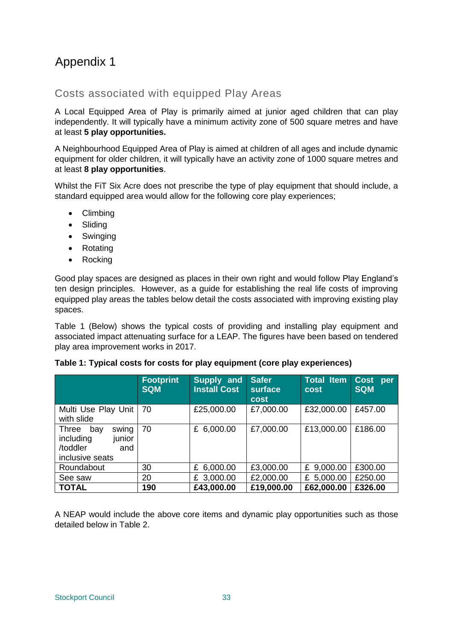# Appendix 1

# Costs associated with equipped Play Areas

A Local Equipped Area of Play is primarily aimed at junior aged children that can play independently. It will typically have a minimum activity zone of 500 square metres and have at least **5 play opportunities.**

A Neighbourhood Equipped Area of Play is aimed at children of all ages and include dynamic equipment for older children, it will typically have an activity zone of 1000 square metres and at least **8 play opportunities**.

Whilst the FiT Six Acre does not prescribe the type of play equipment that should include, a standard equipped area would allow for the following core play experiences;

- Climbina
- Sliding
- Swinging
- Rotating
- Rocking

Good play spaces are designed as places in their own right and would follow Play England's ten design principles. However, as a guide for establishing the real life costs of improving equipped play areas the tables below detail the costs associated with improving existing play spaces.

Table 1 (Below) shows the typical costs of providing and installing play equipment and associated impact attenuating surface for a LEAP. The figures have been based on tendered play area improvement works in 2017.

|                                                                                    | <b>Footprint</b><br><b>SQM</b> | Supply and<br><b>Install Cost</b> | <b>Safer</b><br>surface<br><b>cost</b> | <b>Total Item</b><br>cost | <b>Cost</b><br>per<br><b>SQM</b> |
|------------------------------------------------------------------------------------|--------------------------------|-----------------------------------|----------------------------------------|---------------------------|----------------------------------|
| Multi Use Play Unit<br>with slide                                                  | 70                             | £25,000.00                        | £7,000.00                              | £32,000.00                | £457.00                          |
| swing<br>Three<br>bay<br>including<br>junior<br>/toddler<br>and<br>inclusive seats | 70                             | £ $6,000.00$                      | £7,000.00                              | £13,000.00                | £186.00                          |
| Roundabout                                                                         | 30                             | £ 6,000.00                        | £3,000.00                              | £ 9,000.00                | £300.00                          |
| See saw                                                                            | 20                             | £ 3,000.00                        | £2,000.00                              | £ 5,000.00                | £250.00                          |
| <b>TOTAL</b>                                                                       | 190                            | £43,000.00                        | £19,000.00                             | £62,000.00                | £326.00                          |

|  |  |  |  | Table 1: Typical costs for costs for play equipment (core play experiences) |  |
|--|--|--|--|-----------------------------------------------------------------------------|--|
|  |  |  |  |                                                                             |  |

A NEAP would include the above core items and dynamic play opportunities such as those detailed below in Table 2.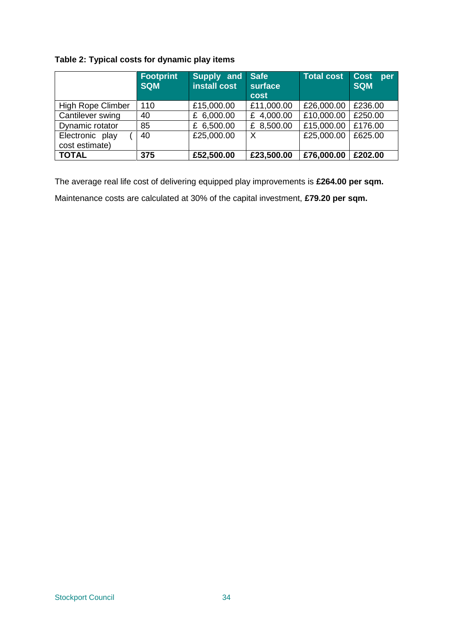# **Table 2: Typical costs for dynamic play items**

|                                   | <b>Footprint</b><br><b>SQM</b> | Supply and<br>install cost | <b>Safe</b><br>surface<br>cost | Total cost | <b>Cost</b><br>per<br><b>SQM</b> |
|-----------------------------------|--------------------------------|----------------------------|--------------------------------|------------|----------------------------------|
| <b>High Rope Climber</b>          | 110                            | £15,000.00                 | £11,000.00                     | £26,000.00 | £236.00                          |
| Cantilever swing                  | 40                             | £ 6,000.00                 | 4,000.00<br>£                  | £10,000.00 | £250.00                          |
| Dynamic rotator                   | 85                             | £ 6,500.00                 | £ 8,500.00                     | £15,000.00 | £176.00                          |
| Electronic play<br>cost estimate) | 40                             | £25,000.00                 | X                              | £25,000.00 | £625.00                          |
| <b>TOTAL</b>                      | 375                            | £52,500.00                 | £23,500.00                     | £76,000.00 | £202.00                          |

The average real life cost of delivering equipped play improvements is **£264.00 per sqm.** Maintenance costs are calculated at 30% of the capital investment, **£79.20 per sqm.**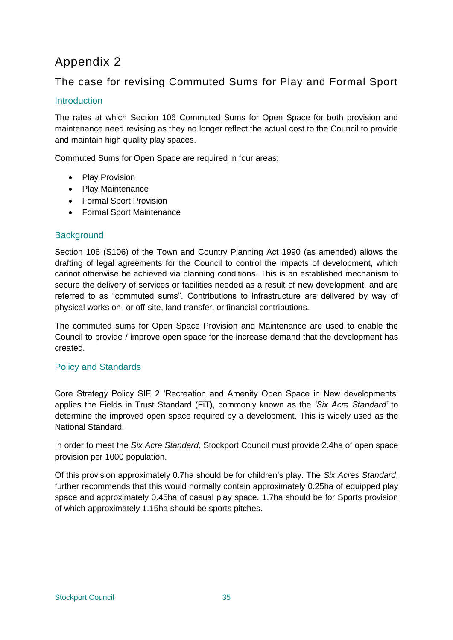# Appendix 2

# The case for revising Commuted Sums for Play and Formal Sport

# **Introduction**

The rates at which Section 106 Commuted Sums for Open Space for both provision and maintenance need revising as they no longer reflect the actual cost to the Council to provide and maintain high quality play spaces.

Commuted Sums for Open Space are required in four areas;

- Play Provision
- Play Maintenance
- Formal Sport Provision
- Formal Sport Maintenance

# **Background**

Section 106 (S106) of the Town and Country Planning Act 1990 (as amended) allows the drafting of legal agreements for the Council to control the impacts of development, which cannot otherwise be achieved via planning conditions. This is an established mechanism to secure the delivery of services or facilities needed as a result of new development, and are referred to as "commuted sums". Contributions to infrastructure are delivered by way of physical works on- or off-site, land transfer, or financial contributions.

The commuted sums for Open Space Provision and Maintenance are used to enable the Council to provide / improve open space for the increase demand that the development has created.

# Policy and Standards

Core Strategy Policy SIE 2 'Recreation and Amenity Open Space in New developments' applies the Fields in Trust Standard (FiT), commonly known as the *'Six Acre Standard'* to determine the improved open space required by a development. This is widely used as the National Standard.

In order to meet the *Six Acre Standard,* Stockport Council must provide 2.4ha of open space provision per 1000 population.

Of this provision approximately 0.7ha should be for children's play. The *Six Acres Standard*, further recommends that this would normally contain approximately 0.25ha of equipped play space and approximately 0.45ha of casual play space. 1.7ha should be for Sports provision of which approximately 1.15ha should be sports pitches.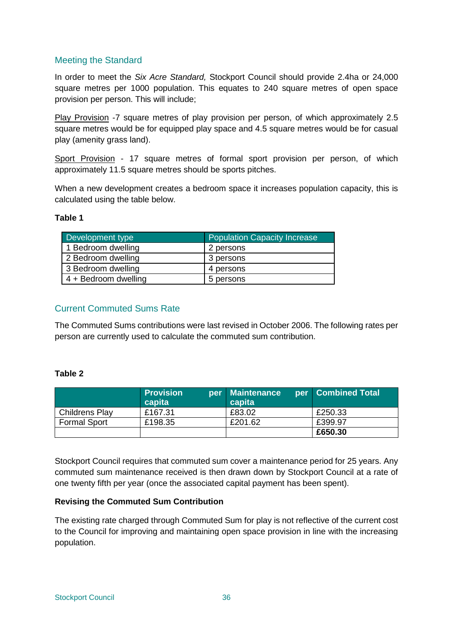# Meeting the Standard

In order to meet the *Six Acre Standard,* Stockport Council should provide 2.4ha or 24,000 square metres per 1000 population. This equates to 240 square metres of open space provision per person. This will include;

Play Provision -7 square metres of play provision per person, of which approximately 2.5 square metres would be for equipped play space and 4.5 square metres would be for casual play (amenity grass land).

Sport Provision - 17 square metres of formal sport provision per person, of which approximately 11.5 square metres should be sports pitches.

When a new development creates a bedroom space it increases population capacity, this is calculated using the table below.

## **Table 1**

| Development type     | <b>Population Capacity Increase</b> |
|----------------------|-------------------------------------|
| 1 Bedroom dwelling   | 2 persons                           |
| 2 Bedroom dwelling   | 3 persons                           |
| 3 Bedroom dwelling   | 4 persons                           |
| 4 + Bedroom dwelling | 5 persons                           |

# Current Commuted Sums Rate

The Commuted Sums contributions were last revised in October 2006. The following rates per person are currently used to calculate the commuted sum contribution.

## **Table 2**

|                       | <b>Provision</b><br>capita | per Maintenance<br>capita | per   Combined Total |
|-----------------------|----------------------------|---------------------------|----------------------|
| <b>Childrens Play</b> | £167.31                    | £83.02                    | £250.33              |
| <b>Formal Sport</b>   | £198.35                    | £201.62                   | £399.97              |
|                       |                            |                           | £650.30              |

Stockport Council requires that commuted sum cover a maintenance period for 25 years. Any commuted sum maintenance received is then drawn down by Stockport Council at a rate of one twenty fifth per year (once the associated capital payment has been spent).

## **Revising the Commuted Sum Contribution**

The existing rate charged through Commuted Sum for play is not reflective of the current cost to the Council for improving and maintaining open space provision in line with the increasing population.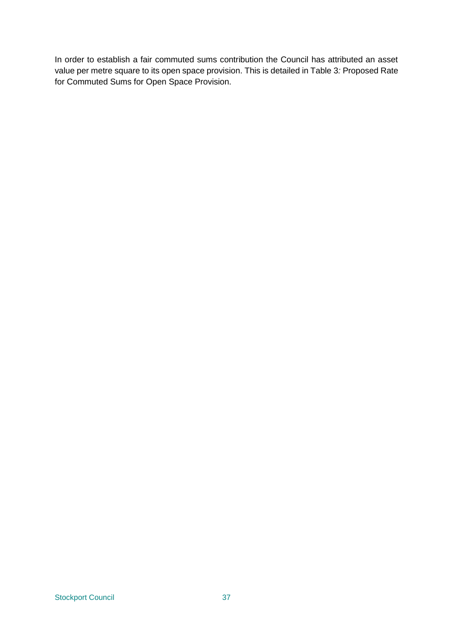In order to establish a fair commuted sums contribution the Council has attributed an asset value per metre square to its open space provision. This is detailed in Table 3*:* Proposed Rate for Commuted Sums for Open Space Provision.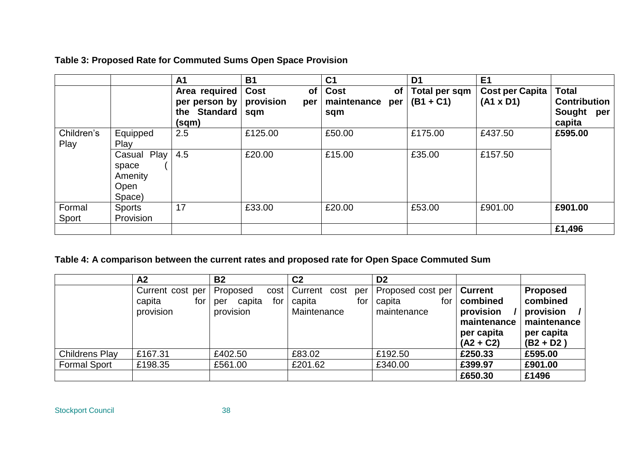# **Table 3: Proposed Rate for Commuted Sums Open Space Provision**

|                    |                                                      | A <sub>1</sub>                                          | <b>B1</b>                                    | C <sub>1</sub>                                        | D <sub>1</sub>               | E <sub>1</sub>                             |                                                                |
|--------------------|------------------------------------------------------|---------------------------------------------------------|----------------------------------------------|-------------------------------------------------------|------------------------------|--------------------------------------------|----------------------------------------------------------------|
|                    |                                                      | Area required<br>per person by<br>the Standard<br>(sqm) | Cost<br><b>of</b><br>provision<br>per<br>sqm | <b>Cost</b><br><b>of</b><br>maintenance<br>per<br>sqm | Total per sqm<br>$(B1 + C1)$ | <b>Cost per Capita</b><br>$(A1 \times D1)$ | <b>Total</b><br><b>Contribution</b><br>Sought<br>per<br>capita |
| Children's<br>Play | Equipped<br>Play                                     | 2.5                                                     | £125.00                                      | £50.00                                                | £175.00                      | £437.50                                    | £595.00                                                        |
|                    | Play<br>Casual<br>space<br>Amenity<br>Open<br>Space) | 4.5                                                     | £20.00                                       | £15.00                                                | £35.00                       | £157.50                                    |                                                                |
| Formal<br>Sport    | <b>Sports</b><br>Provision                           | 17                                                      | £33.00                                       | £20.00                                                | £53.00                       | £901.00                                    | £901.00                                                        |
|                    |                                                      |                                                         |                                              |                                                       |                              |                                            | £1,496                                                         |

# **Table 4: A comparison between the current rates and proposed rate for Open Space Commuted Sum**

|                       | A2                                             | <b>B2</b>                                     | C <sub>2</sub>                                                | D <sub>2</sub>                                    |                                                                                     |                                                                                      |
|-----------------------|------------------------------------------------|-----------------------------------------------|---------------------------------------------------------------|---------------------------------------------------|-------------------------------------------------------------------------------------|--------------------------------------------------------------------------------------|
|                       | Current cost per<br>capita<br>for<br>provision | Proposed<br>capita<br>for<br>per<br>provision | cost   Current<br>cost<br>per<br>capita<br>for<br>Maintenance | Proposed cost per<br>capita<br>for<br>maintenance | <b>Current</b><br>combined<br>provision<br>maintenance<br>per capita<br>$(A2 + C2)$ | <b>Proposed</b><br>combined<br>provision<br>maintenance<br>per capita<br>$(B2 + D2)$ |
| <b>Childrens Play</b> | £167.31                                        | £402.50                                       | £83.02                                                        | £192.50                                           | £250.33                                                                             | £595.00                                                                              |
| <b>Formal Sport</b>   | £198.35                                        | £561.00                                       | £201.62                                                       | £340.00                                           | £399.97                                                                             | £901.00                                                                              |
|                       |                                                |                                               |                                                               |                                                   | £650.30                                                                             | £1496                                                                                |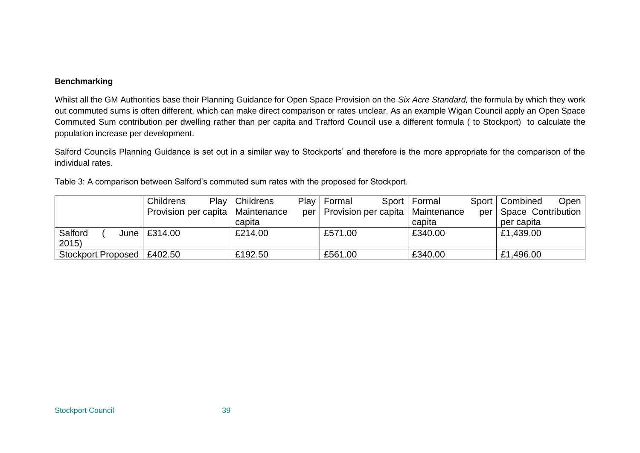#### **Benchmarking**

Whilst all the GM Authorities base their Planning Guidance for Open Space Provision on the *Six Acre Standard,* the formula by which they work out commuted sums is often different, which can make direct comparison or rates unclear. As an example Wigan Council apply an Open Space Commuted Sum contribution per dwelling rather than per capita and Trafford Council use a different formula ( to Stockport) to calculate the population increase per development.

Salford Councils Planning Guidance is set out in a similar way to Stockports' and therefore is the more appropriate for the comparison of the individual rates.

| Table 3: A comparison between Salford's commuted sum rates with the proposed for Stockport. |  |  |
|---------------------------------------------------------------------------------------------|--|--|
|                                                                                             |  |  |

|                              | Childrens                          | Play   Childrens | Play   Formal                            | Sport   Formal | Sport   Combined<br>Open |
|------------------------------|------------------------------------|------------------|------------------------------------------|----------------|--------------------------|
|                              | Provision per capita   Maintenance |                  | per   Provision per capita   Maintenance |                | per   Space Contribution |
|                              |                                    | capita           |                                          | capita         | per capita               |
| Salford                      | June $\vert$ £314.00               | £214.00          | £571.00                                  | £340.00        | £1,439.00                |
| 2015                         |                                    |                  |                                          |                |                          |
| Stockport Proposed   £402.50 |                                    | £192.50          | £561.00                                  | £340.00        | £1,496.00                |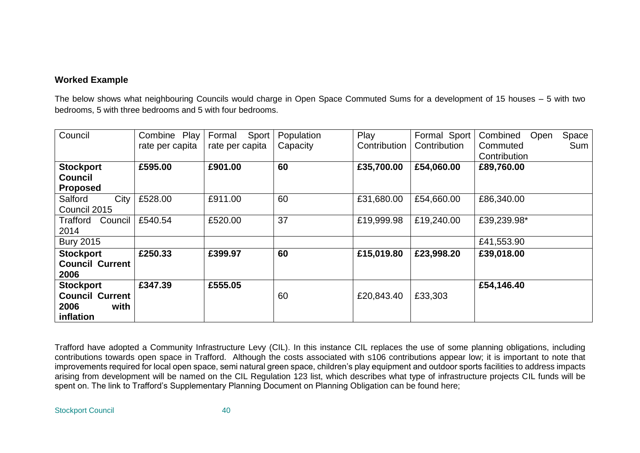# **Worked Example**

The below shows what neighbouring Councils would charge in Open Space Commuted Sums for a development of 15 houses – 5 with two bedrooms, 5 with three bedrooms and 5 with four bedrooms.

| Council                | Play<br>Combine<br>rate per capita | Sport<br>Formal<br>rate per capita | Population<br>Capacity | Play<br>Contribution | Formal Sport<br>Contribution | Combined<br>Space<br>Open<br>Commuted<br>Sum |
|------------------------|------------------------------------|------------------------------------|------------------------|----------------------|------------------------------|----------------------------------------------|
|                        |                                    |                                    |                        |                      |                              | Contribution                                 |
| <b>Stockport</b>       | £595.00                            | £901.00                            | 60                     | £35,700.00           | £54,060.00                   | £89,760.00                                   |
| <b>Council</b>         |                                    |                                    |                        |                      |                              |                                              |
| <b>Proposed</b>        |                                    |                                    |                        |                      |                              |                                              |
| City<br>Salford        | £528.00                            | £911.00                            | 60                     | £31,680.00           | £54,660.00                   | £86,340.00                                   |
| Council 2015           |                                    |                                    |                        |                      |                              |                                              |
| Council<br>Trafford    | £540.54                            | £520.00                            | 37                     | £19,999.98           | £19,240.00                   | £39,239.98*                                  |
| 2014                   |                                    |                                    |                        |                      |                              |                                              |
| <b>Bury 2015</b>       |                                    |                                    |                        |                      |                              | £41,553.90                                   |
| <b>Stockport</b>       | £250.33                            | £399.97                            | 60                     | £15,019.80           | £23,998.20                   | £39,018.00                                   |
| <b>Council Current</b> |                                    |                                    |                        |                      |                              |                                              |
| 2006                   |                                    |                                    |                        |                      |                              |                                              |
| <b>Stockport</b>       | £347.39                            | £555.05                            |                        |                      |                              | £54,146.40                                   |
| <b>Council Current</b> |                                    |                                    | 60                     | £20,843.40           | £33,303                      |                                              |
| with<br>2006           |                                    |                                    |                        |                      |                              |                                              |
| inflation              |                                    |                                    |                        |                      |                              |                                              |

Trafford have adopted a Community Infrastructure Levy (CIL). In this instance CIL replaces the use of some planning obligations, including contributions towards open space in Trafford. Although the costs associated with s106 contributions appear low; it is important to note that improvements required for local open space, semi natural green space, children's play equipment and outdoor sports facilities to address impacts arising from development will be named on the CIL Regulation 123 list, which describes what type of infrastructure projects CIL funds will be spent on. The link to Trafford's Supplementary Planning Document on Planning Obligation can be found here;

Stockport Council 40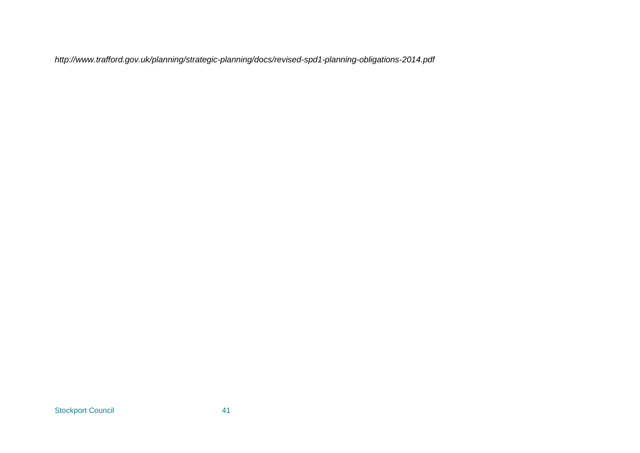*http://www.trafford.gov.uk/planning/strategic-planning/docs/revised-spd1-planning-obligations-2014.pdf*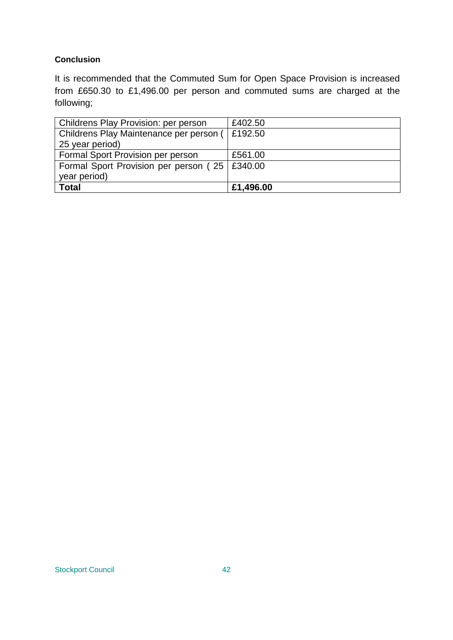# **Conclusion**

It is recommended that the Commuted Sum for Open Space Provision is increased from £650.30 to £1,496.00 per person and commuted sums are charged at the following;

| <b>Childrens Play Provision: per person</b>     | £402.50   |
|-------------------------------------------------|-----------|
| Childrens Play Maintenance per person (         | £192.50   |
| 25 year period)                                 |           |
| Formal Sport Provision per person               | £561.00   |
| Formal Sport Provision per person (25   £340.00 |           |
| year period)                                    |           |
| <b>Total</b>                                    | £1,496.00 |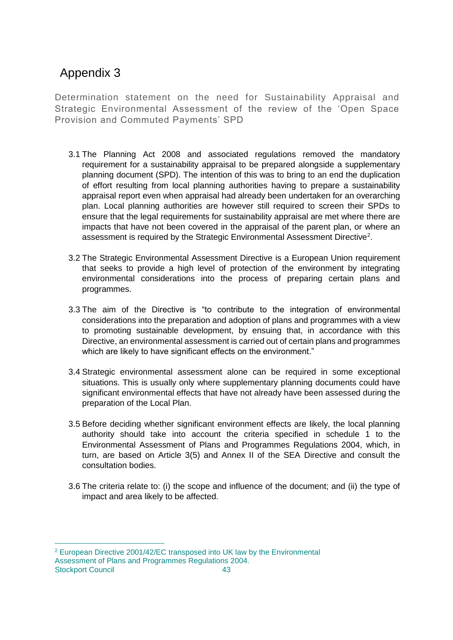# Appendix 3

 $\overline{a}$ 

Determination statement on the need for Sustainability Appraisal and Strategic Environmental Assessment of the review of the 'Open Space Provision and Commuted Payments' SPD

- 3.1 The Planning Act 2008 and associated regulations removed the mandatory requirement for a sustainability appraisal to be prepared alongside a supplementary planning document (SPD). The intention of this was to bring to an end the duplication of effort resulting from local planning authorities having to prepare a sustainability appraisal report even when appraisal had already been undertaken for an overarching plan. Local planning authorities are however still required to screen their SPDs to ensure that the legal requirements for sustainability appraisal are met where there are impacts that have not been covered in the appraisal of the parent plan, or where an assessment is required by the Strategic Environmental Assessment Directive<sup>2</sup>.
- 3.2 The Strategic Environmental Assessment Directive is a European Union requirement that seeks to provide a high level of protection of the environment by integrating environmental considerations into the process of preparing certain plans and programmes.
- 3.3 The aim of the Directive is "to contribute to the integration of environmental considerations into the preparation and adoption of plans and programmes with a view to promoting sustainable development, by ensuing that, in accordance with this Directive, an environmental assessment is carried out of certain plans and programmes which are likely to have significant effects on the environment."
- 3.4 Strategic environmental assessment alone can be required in some exceptional situations. This is usually only where supplementary planning documents could have significant environmental effects that have not already have been assessed during the preparation of the Local Plan.
- 3.5 Before deciding whether significant environment effects are likely, the local planning authority should take into account the criteria specified in schedule 1 to the Environmental Assessment of Plans and Programmes Regulations 2004, which, in turn, are based on Article 3(5) and Annex II of the SEA Directive and consult the consultation bodies.
- 3.6 The criteria relate to: (i) the scope and influence of the document; and (ii) the type of impact and area likely to be affected.

Stockport Council 43 <sup>2</sup> European Directive 2001/42/EC transposed into UK law by the Environmental Assessment of Plans and Programmes Regulations 2004.